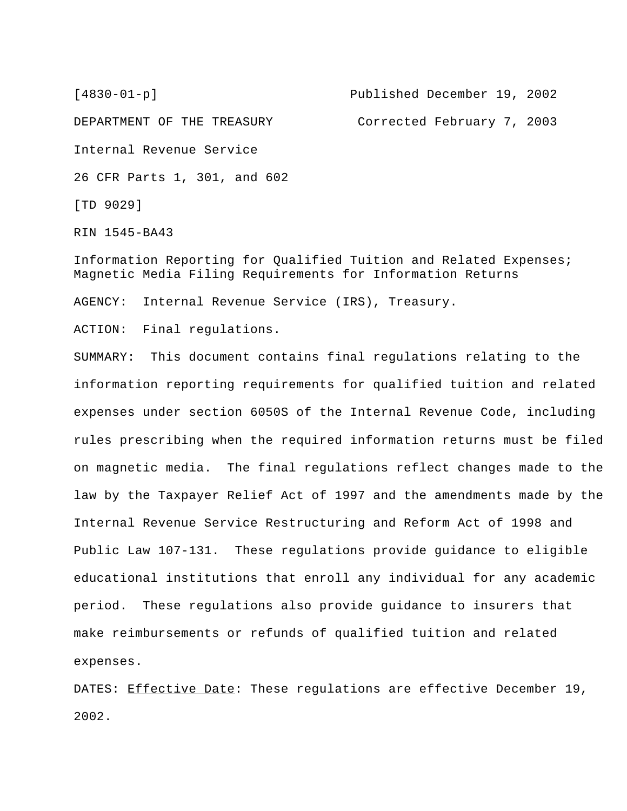[4830-01-p] Published December 19, 2002 DEPARTMENT OF THE TREASURY Corrected February 7, 2003 Internal Revenue Service 26 CFR Parts 1, 301, and 602 [TD 9029]

RIN 1545-BA43

Information Reporting for Qualified Tuition and Related Expenses; Magnetic Media Filing Requirements for Information Returns

AGENCY: Internal Revenue Service (IRS), Treasury.

ACTION: Final regulations.

SUMMARY: This document contains final regulations relating to the information reporting requirements for qualified tuition and related expenses under section 6050S of the Internal Revenue Code, including rules prescribing when the required information returns must be filed on magnetic media. The final regulations reflect changes made to the law by the Taxpayer Relief Act of 1997 and the amendments made by the Internal Revenue Service Restructuring and Reform Act of 1998 and Public Law 107-131. These regulations provide guidance to eligible educational institutions that enroll any individual for any academic period. These regulations also provide guidance to insurers that make reimbursements or refunds of qualified tuition and related expenses.

DATES: Effective Date: These regulations are effective December 19, 2002.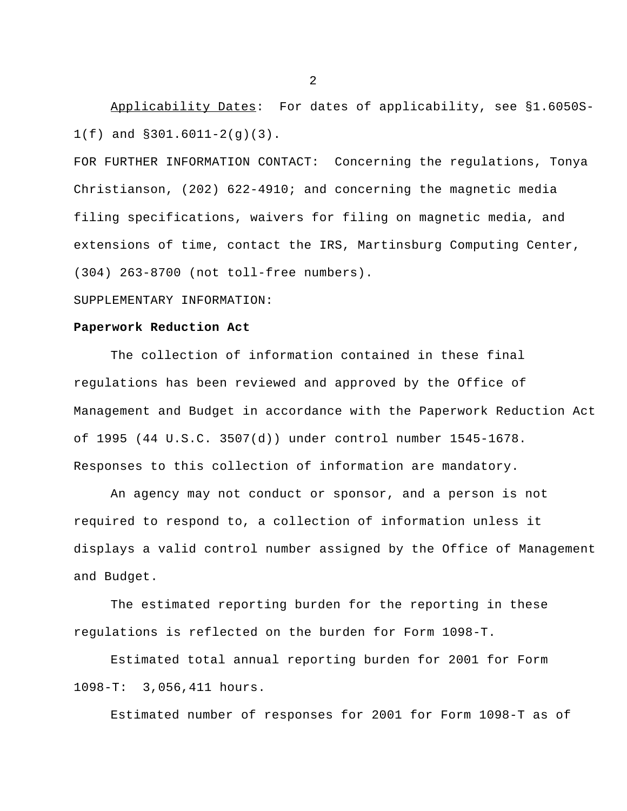Applicability Dates: For dates of applicability, see §1.6050S-1(f) and §301.6011-2(g)(3).

FOR FURTHER INFORMATION CONTACT: Concerning the regulations, Tonya Christianson, (202) 622-4910; and concerning the magnetic media filing specifications, waivers for filing on magnetic media, and extensions of time, contact the IRS, Martinsburg Computing Center, (304) 263-8700 (not toll-free numbers).

### SUPPLEMENTARY INFORMATION:

### **Paperwork Reduction Act**

The collection of information contained in these final regulations has been reviewed and approved by the Office of Management and Budget in accordance with the Paperwork Reduction Act of 1995 (44 U.S.C. 3507(d)) under control number 1545-1678. Responses to this collection of information are mandatory.

An agency may not conduct or sponsor, and a person is not required to respond to, a collection of information unless it displays a valid control number assigned by the Office of Management and Budget.

The estimated reporting burden for the reporting in these regulations is reflected on the burden for Form 1098-T.

Estimated total annual reporting burden for 2001 for Form 1098-T: 3,056,411 hours.

Estimated number of responses for 2001 for Form 1098-T as of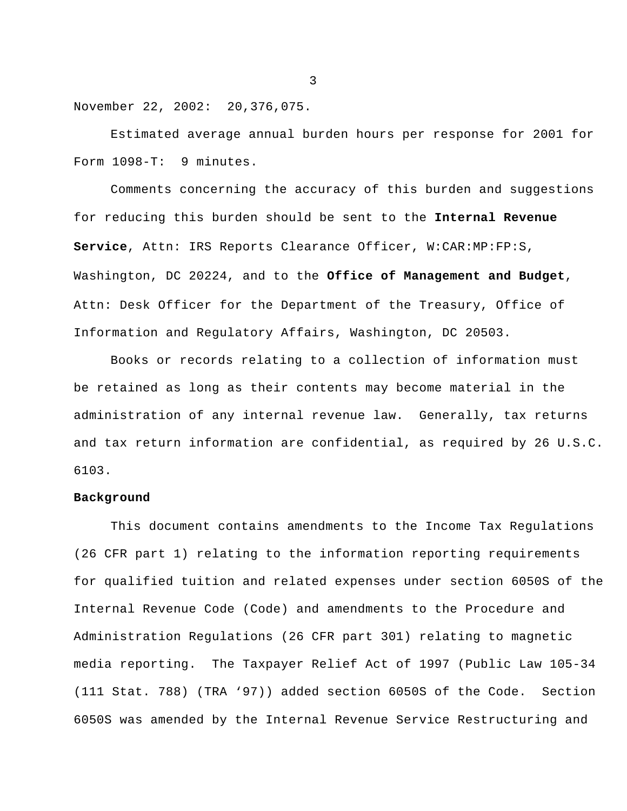November 22, 2002: 20,376,075.

Estimated average annual burden hours per response for 2001 for Form 1098-T: 9 minutes.

Comments concerning the accuracy of this burden and suggestions for reducing this burden should be sent to the **Internal Revenue Service**, Attn: IRS Reports Clearance Officer, W:CAR:MP:FP:S, Washington, DC 20224, and to the **Office of Management and Budget**, Attn: Desk Officer for the Department of the Treasury, Office of Information and Regulatory Affairs, Washington, DC 20503.

Books or records relating to a collection of information must be retained as long as their contents may become material in the administration of any internal revenue law. Generally, tax returns and tax return information are confidential, as required by 26 U.S.C. 6103.

## **Background**

This document contains amendments to the Income Tax Regulations (26 CFR part 1) relating to the information reporting requirements for qualified tuition and related expenses under section 6050S of the Internal Revenue Code (Code) and amendments to the Procedure and Administration Regulations (26 CFR part 301) relating to magnetic media reporting. The Taxpayer Relief Act of 1997 (Public Law 105-34 (111 Stat. 788) (TRA '97)) added section 6050S of the Code. Section 6050S was amended by the Internal Revenue Service Restructuring and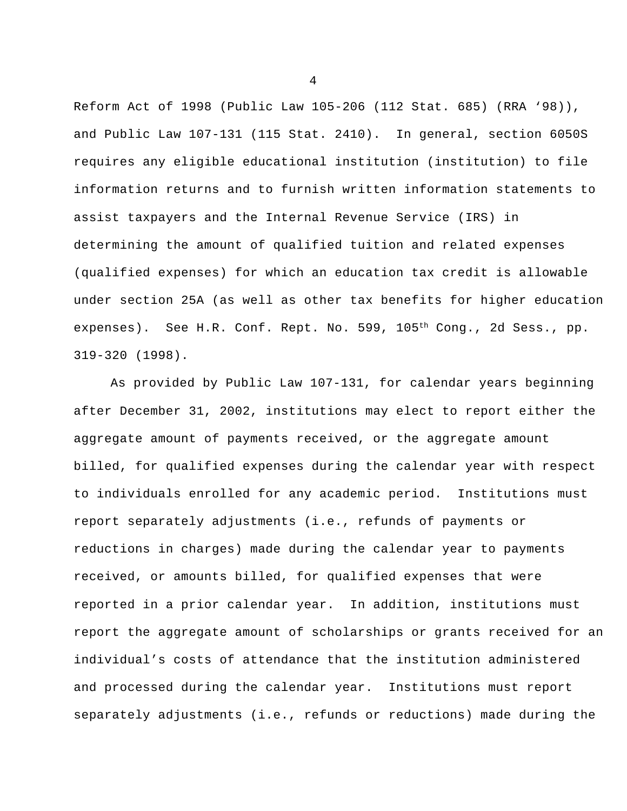Reform Act of 1998 (Public Law 105-206 (112 Stat. 685) (RRA '98)), and Public Law 107-131 (115 Stat. 2410). In general, section 6050S requires any eligible educational institution (institution) to file information returns and to furnish written information statements to assist taxpayers and the Internal Revenue Service (IRS) in determining the amount of qualified tuition and related expenses (qualified expenses) for which an education tax credit is allowable under section 25A (as well as other tax benefits for higher education expenses). See H.R. Conf. Rept. No. 599, 105<sup>th</sup> Cong., 2d Sess., pp. 319-320 (1998).

As provided by Public Law 107-131, for calendar years beginning after December 31, 2002, institutions may elect to report either the aggregate amount of payments received, or the aggregate amount billed, for qualified expenses during the calendar year with respect to individuals enrolled for any academic period. Institutions must report separately adjustments (i.e., refunds of payments or reductions in charges) made during the calendar year to payments received, or amounts billed, for qualified expenses that were reported in a prior calendar year. In addition, institutions must report the aggregate amount of scholarships or grants received for an individual's costs of attendance that the institution administered and processed during the calendar year. Institutions must report separately adjustments (i.e., refunds or reductions) made during the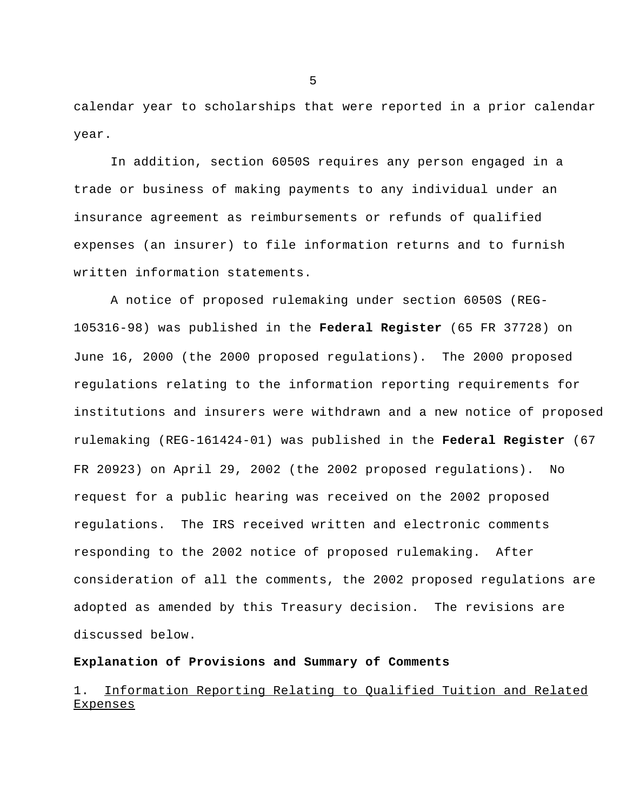calendar year to scholarships that were reported in a prior calendar year.

In addition, section 6050S requires any person engaged in a trade or business of making payments to any individual under an insurance agreement as reimbursements or refunds of qualified expenses (an insurer) to file information returns and to furnish written information statements.

A notice of proposed rulemaking under section 6050S (REG-105316-98) was published in the **Federal Register** (65 FR 37728) on June 16, 2000 (the 2000 proposed regulations). The 2000 proposed regulations relating to the information reporting requirements for institutions and insurers were withdrawn and a new notice of proposed rulemaking (REG-161424-01) was published in the **Federal Register** (67 FR 20923) on April 29, 2002 (the 2002 proposed regulations). No request for a public hearing was received on the 2002 proposed regulations. The IRS received written and electronic comments responding to the 2002 notice of proposed rulemaking. After consideration of all the comments, the 2002 proposed regulations are adopted as amended by this Treasury decision. The revisions are discussed below.

### **Explanation of Provisions and Summary of Comments**

# 1. Information Reporting Relating to Qualified Tuition and Related Expenses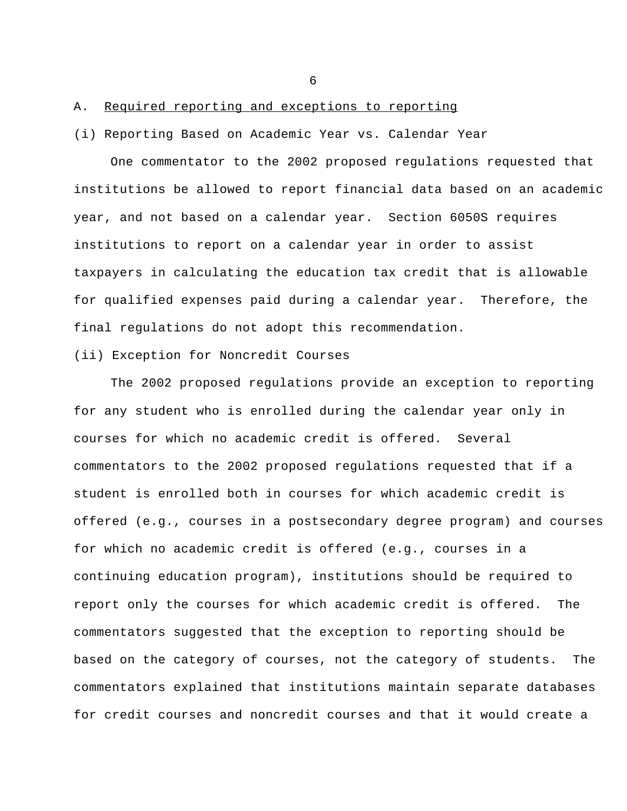## A. Required reporting and exceptions to reporting

#### (i) Reporting Based on Academic Year vs. Calendar Year

One commentator to the 2002 proposed regulations requested that institutions be allowed to report financial data based on an academic year, and not based on a calendar year. Section 6050S requires institutions to report on a calendar year in order to assist taxpayers in calculating the education tax credit that is allowable for qualified expenses paid during a calendar year. Therefore, the final regulations do not adopt this recommendation.

## (ii) Exception for Noncredit Courses

The 2002 proposed regulations provide an exception to reporting for any student who is enrolled during the calendar year only in courses for which no academic credit is offered. Several commentators to the 2002 proposed regulations requested that if a student is enrolled both in courses for which academic credit is offered (e.g., courses in a postsecondary degree program) and courses for which no academic credit is offered (e.g., courses in a continuing education program), institutions should be required to report only the courses for which academic credit is offered. The commentators suggested that the exception to reporting should be based on the category of courses, not the category of students. The commentators explained that institutions maintain separate databases for credit courses and noncredit courses and that it would create a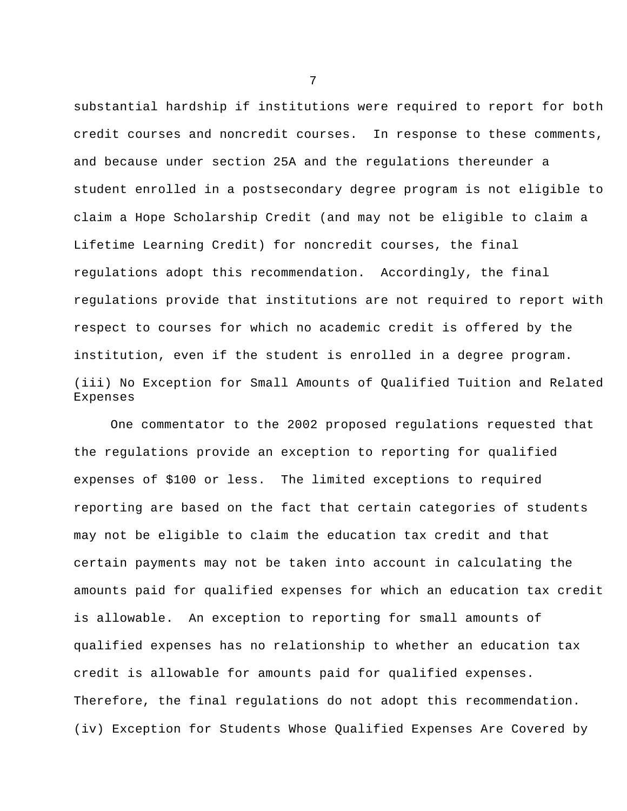substantial hardship if institutions were required to report for both credit courses and noncredit courses. In response to these comments, and because under section 25A and the regulations thereunder a student enrolled in a postsecondary degree program is not eligible to claim a Hope Scholarship Credit (and may not be eligible to claim a Lifetime Learning Credit) for noncredit courses, the final regulations adopt this recommendation. Accordingly, the final regulations provide that institutions are not required to report with respect to courses for which no academic credit is offered by the institution, even if the student is enrolled in a degree program. (iii) No Exception for Small Amounts of Qualified Tuition and Related Expenses

One commentator to the 2002 proposed regulations requested that the regulations provide an exception to reporting for qualified expenses of \$100 or less. The limited exceptions to required reporting are based on the fact that certain categories of students may not be eligible to claim the education tax credit and that certain payments may not be taken into account in calculating the amounts paid for qualified expenses for which an education tax credit is allowable. An exception to reporting for small amounts of qualified expenses has no relationship to whether an education tax credit is allowable for amounts paid for qualified expenses. Therefore, the final regulations do not adopt this recommendation. (iv) Exception for Students Whose Qualified Expenses Are Covered by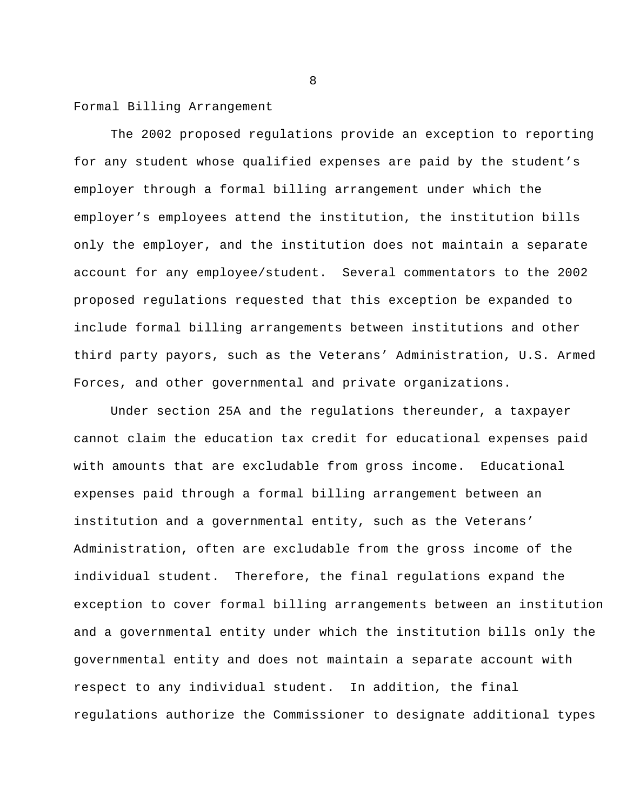Formal Billing Arrangement

The 2002 proposed regulations provide an exception to reporting for any student whose qualified expenses are paid by the student's employer through a formal billing arrangement under which the employer's employees attend the institution, the institution bills only the employer, and the institution does not maintain a separate account for any employee/student. Several commentators to the 2002 proposed regulations requested that this exception be expanded to include formal billing arrangements between institutions and other third party payors, such as the Veterans' Administration, U.S. Armed Forces, and other governmental and private organizations.

Under section 25A and the regulations thereunder, a taxpayer cannot claim the education tax credit for educational expenses paid with amounts that are excludable from gross income. Educational expenses paid through a formal billing arrangement between an institution and a governmental entity, such as the Veterans' Administration, often are excludable from the gross income of the individual student. Therefore, the final regulations expand the exception to cover formal billing arrangements between an institution and a governmental entity under which the institution bills only the governmental entity and does not maintain a separate account with respect to any individual student. In addition, the final regulations authorize the Commissioner to designate additional types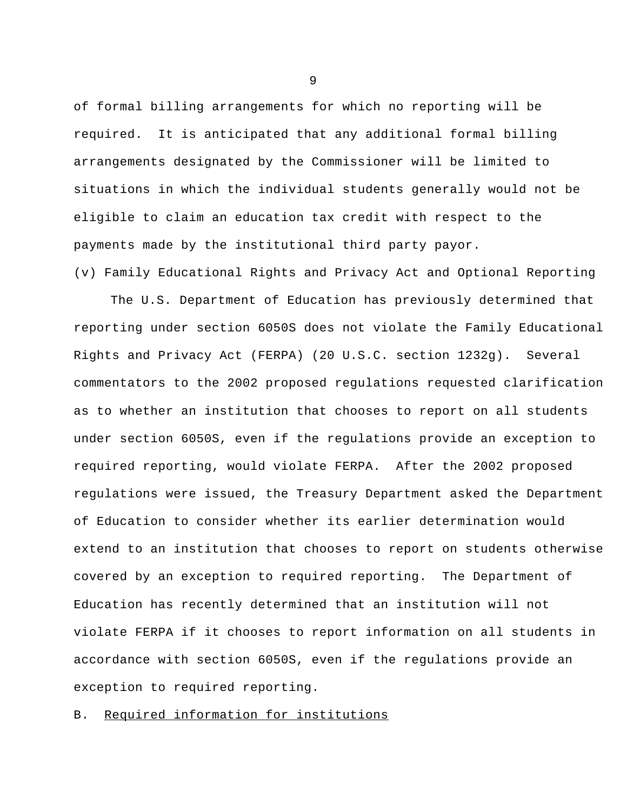of formal billing arrangements for which no reporting will be required. It is anticipated that any additional formal billing arrangements designated by the Commissioner will be limited to situations in which the individual students generally would not be eligible to claim an education tax credit with respect to the payments made by the institutional third party payor.

(v) Family Educational Rights and Privacy Act and Optional Reporting

The U.S. Department of Education has previously determined that reporting under section 6050S does not violate the Family Educational Rights and Privacy Act (FERPA) (20 U.S.C. section 1232g). Several commentators to the 2002 proposed regulations requested clarification as to whether an institution that chooses to report on all students under section 6050S, even if the regulations provide an exception to required reporting, would violate FERPA. After the 2002 proposed regulations were issued, the Treasury Department asked the Department of Education to consider whether its earlier determination would extend to an institution that chooses to report on students otherwise covered by an exception to required reporting. The Department of Education has recently determined that an institution will not violate FERPA if it chooses to report information on all students in accordance with section 6050S, even if the regulations provide an exception to required reporting.

B. Required information for institutions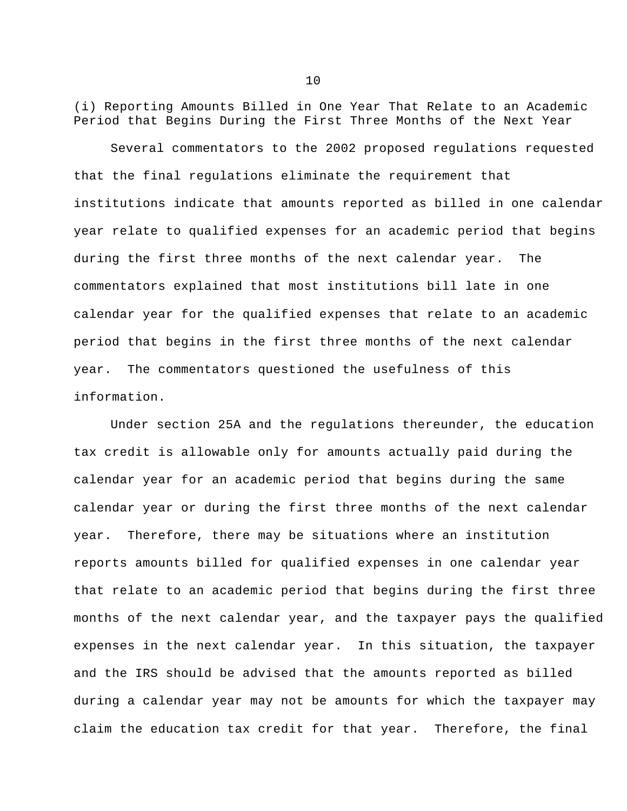(i) Reporting Amounts Billed in One Year That Relate to an Academic Period that Begins During the First Three Months of the Next Year

Several commentators to the 2002 proposed regulations requested that the final regulations eliminate the requirement that institutions indicate that amounts reported as billed in one calendar year relate to qualified expenses for an academic period that begins during the first three months of the next calendar year. The commentators explained that most institutions bill late in one calendar year for the qualified expenses that relate to an academic period that begins in the first three months of the next calendar year. The commentators questioned the usefulness of this information.

Under section 25A and the regulations thereunder, the education tax credit is allowable only for amounts actually paid during the calendar year for an academic period that begins during the same calendar year or during the first three months of the next calendar year. Therefore, there may be situations where an institution reports amounts billed for qualified expenses in one calendar year that relate to an academic period that begins during the first three months of the next calendar year, and the taxpayer pays the qualified expenses in the next calendar year. In this situation, the taxpayer and the IRS should be advised that the amounts reported as billed during a calendar year may not be amounts for which the taxpayer may claim the education tax credit for that year. Therefore, the final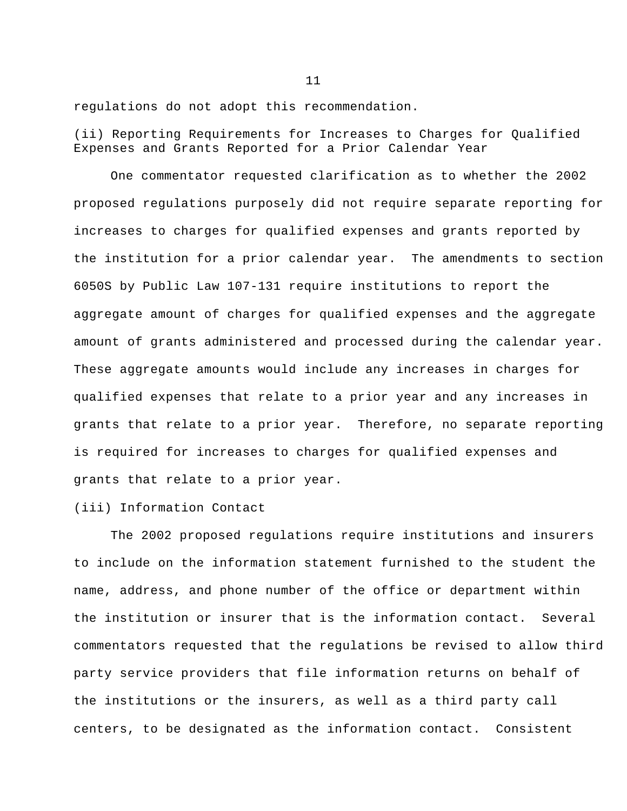regulations do not adopt this recommendation.

(ii) Reporting Requirements for Increases to Charges for Qualified Expenses and Grants Reported for a Prior Calendar Year

One commentator requested clarification as to whether the 2002 proposed regulations purposely did not require separate reporting for increases to charges for qualified expenses and grants reported by the institution for a prior calendar year. The amendments to section 6050S by Public Law 107-131 require institutions to report the aggregate amount of charges for qualified expenses and the aggregate amount of grants administered and processed during the calendar year. These aggregate amounts would include any increases in charges for qualified expenses that relate to a prior year and any increases in grants that relate to a prior year. Therefore, no separate reporting is required for increases to charges for qualified expenses and grants that relate to a prior year.

(iii) Information Contact

The 2002 proposed regulations require institutions and insurers to include on the information statement furnished to the student the name, address, and phone number of the office or department within the institution or insurer that is the information contact. Several commentators requested that the regulations be revised to allow third party service providers that file information returns on behalf of the institutions or the insurers, as well as a third party call centers, to be designated as the information contact. Consistent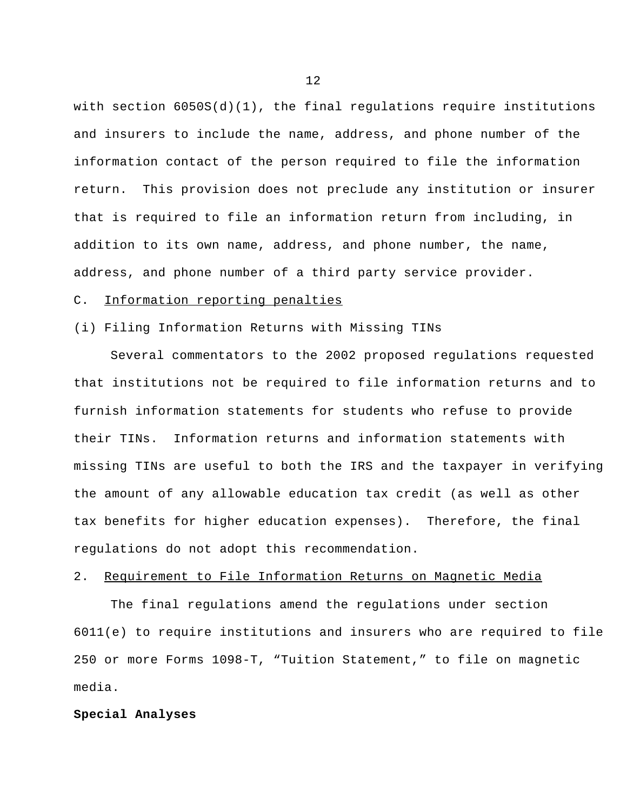with section 6050S(d)(1), the final regulations require institutions and insurers to include the name, address, and phone number of the information contact of the person required to file the information return. This provision does not preclude any institution or insurer that is required to file an information return from including, in addition to its own name, address, and phone number, the name, address, and phone number of a third party service provider.

#### C. Information reporting penalties

### (i) Filing Information Returns with Missing TINs

Several commentators to the 2002 proposed regulations requested that institutions not be required to file information returns and to furnish information statements for students who refuse to provide their TINs. Information returns and information statements with missing TINs are useful to both the IRS and the taxpayer in verifying the amount of any allowable education tax credit (as well as other tax benefits for higher education expenses). Therefore, the final regulations do not adopt this recommendation.

### 2. Requirement to File Information Returns on Magnetic Media

The final regulations amend the regulations under section 6011(e) to require institutions and insurers who are required to file 250 or more Forms 1098-T, "Tuition Statement," to file on magnetic media.

### **Special Analyses**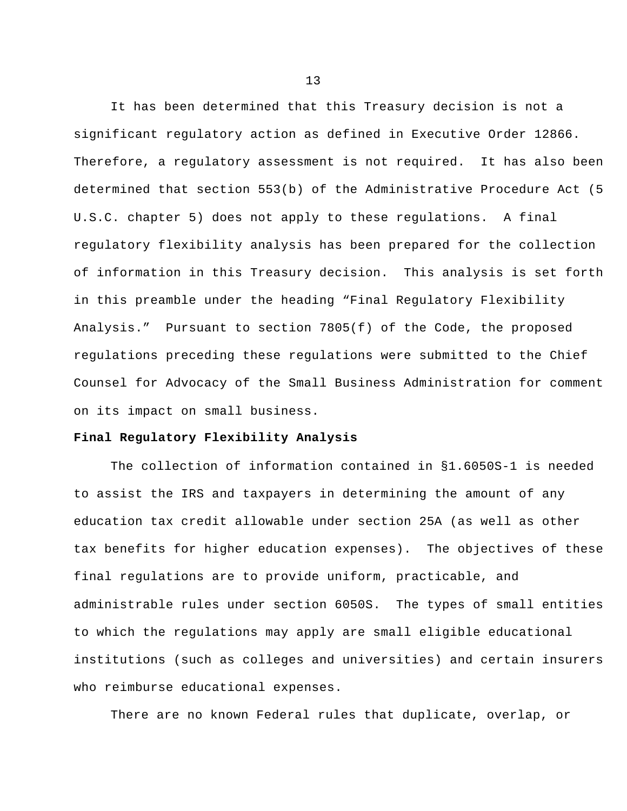It has been determined that this Treasury decision is not a significant regulatory action as defined in Executive Order 12866. Therefore, a regulatory assessment is not required. It has also been determined that section 553(b) of the Administrative Procedure Act (5 U.S.C. chapter 5) does not apply to these regulations. A final regulatory flexibility analysis has been prepared for the collection of information in this Treasury decision. This analysis is set forth in this preamble under the heading "Final Regulatory Flexibility Analysis." Pursuant to section 7805(f) of the Code, the proposed regulations preceding these regulations were submitted to the Chief Counsel for Advocacy of the Small Business Administration for comment on its impact on small business.

### **Final Regulatory Flexibility Analysis**

The collection of information contained in §1.6050S-1 is needed to assist the IRS and taxpayers in determining the amount of any education tax credit allowable under section 25A (as well as other tax benefits for higher education expenses). The objectives of these final regulations are to provide uniform, practicable, and administrable rules under section 6050S. The types of small entities to which the regulations may apply are small eligible educational institutions (such as colleges and universities) and certain insurers who reimburse educational expenses.

There are no known Federal rules that duplicate, overlap, or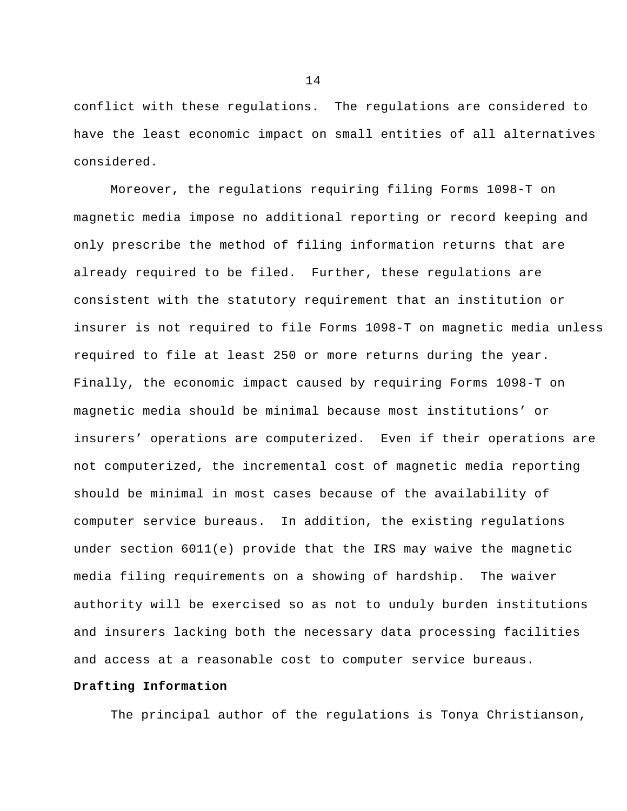conflict with these regulations. The regulations are considered to have the least economic impact on small entities of all alternatives considered.

Moreover, the regulations requiring filing Forms 1098-T on magnetic media impose no additional reporting or record keeping and only prescribe the method of filing information returns that are already required to be filed. Further, these regulations are consistent with the statutory requirement that an institution or insurer is not required to file Forms 1098-T on magnetic media unless required to file at least 250 or more returns during the year. Finally, the economic impact caused by requiring Forms 1098-T on magnetic media should be minimal because most institutions' or insurers' operations are computerized. Even if their operations are not computerized, the incremental cost of magnetic media reporting should be minimal in most cases because of the availability of computer service bureaus. In addition, the existing regulations under section 6011(e) provide that the IRS may waive the magnetic media filing requirements on a showing of hardship. The waiver authority will be exercised so as not to unduly burden institutions and insurers lacking both the necessary data processing facilities and access at a reasonable cost to computer service bureaus.

## **Drafting Information**

The principal author of the regulations is Tonya Christianson,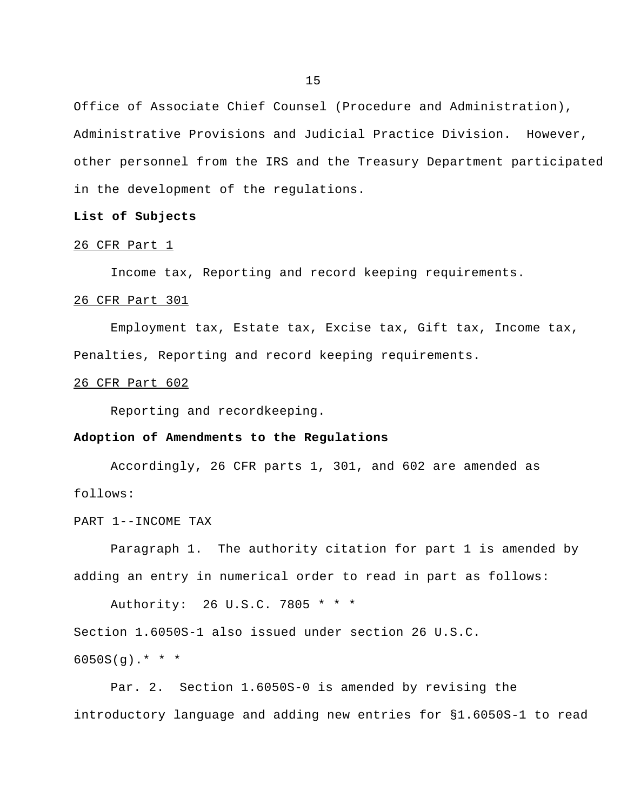Office of Associate Chief Counsel (Procedure and Administration), Administrative Provisions and Judicial Practice Division. However, other personnel from the IRS and the Treasury Department participated in the development of the regulations.

#### **List of Subjects**

#### 26 CFR Part 1

Income tax, Reporting and record keeping requirements.

#### 26 CFR Part 301

Employment tax, Estate tax, Excise tax, Gift tax, Income tax, Penalties, Reporting and record keeping requirements.

## 26 CFR Part 602

Reporting and recordkeeping.

### **Adoption of Amendments to the Regulations**

Accordingly, 26 CFR parts 1, 301, and 602 are amended as follows:

PART 1--INCOME TAX

Paragraph 1. The authority citation for part 1 is amended by adding an entry in numerical order to read in part as follows:

Authority: 26 U.S.C. 7805 \* \* \*

Section 1.6050S-1 also issued under section 26 U.S.C.

 $6050S(q)$ .\* \* \*

Par. 2. Section 1.6050S-0 is amended by revising the introductory language and adding new entries for §1.6050S-1 to read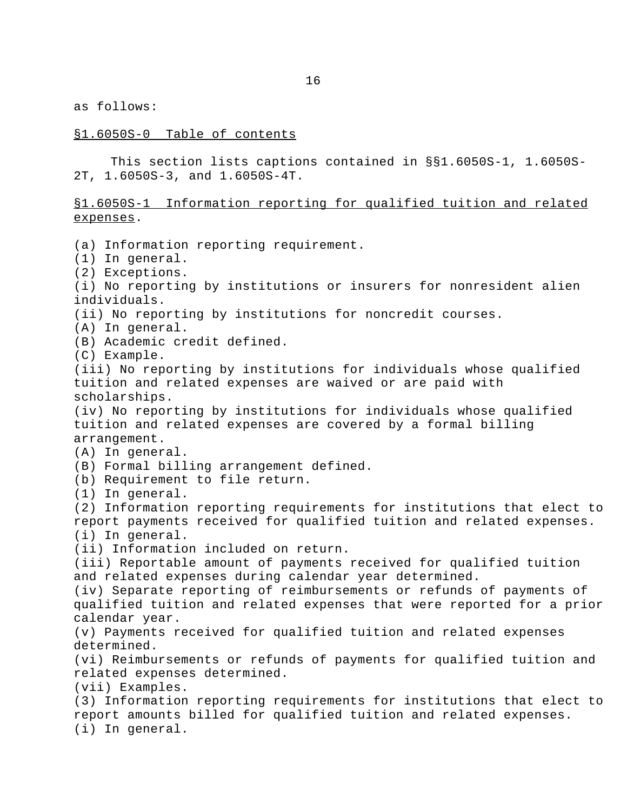as follows:

## §1.6050S-0 Table of contents

This section lists captions contained in §§1.6050S-1, 1.6050S-2T, 1.6050S-3, and 1.6050S-4T.

## §1.6050S-1 Information reporting for qualified tuition and related expenses.

(a) Information reporting requirement.

(1) In general.

(2) Exceptions.

(i) No reporting by institutions or insurers for nonresident alien individuals.

(ii) No reporting by institutions for noncredit courses.

(A) In general.

(B) Academic credit defined.

(C) Example.

(iii) No reporting by institutions for individuals whose qualified tuition and related expenses are waived or are paid with scholarships.

(iv) No reporting by institutions for individuals whose qualified tuition and related expenses are covered by a formal billing arrangement.

(A) In general.

(B) Formal billing arrangement defined.

(b) Requirement to file return.

(1) In general.

(2) Information reporting requirements for institutions that elect to report payments received for qualified tuition and related expenses. (i) In general.

(ii) Information included on return.

(iii) Reportable amount of payments received for qualified tuition and related expenses during calendar year determined.

(iv) Separate reporting of reimbursements or refunds of payments of qualified tuition and related expenses that were reported for a prior calendar year.

(v) Payments received for qualified tuition and related expenses determined.

(vi) Reimbursements or refunds of payments for qualified tuition and related expenses determined.

(vii) Examples.

(3) Information reporting requirements for institutions that elect to report amounts billed for qualified tuition and related expenses. (i) In general.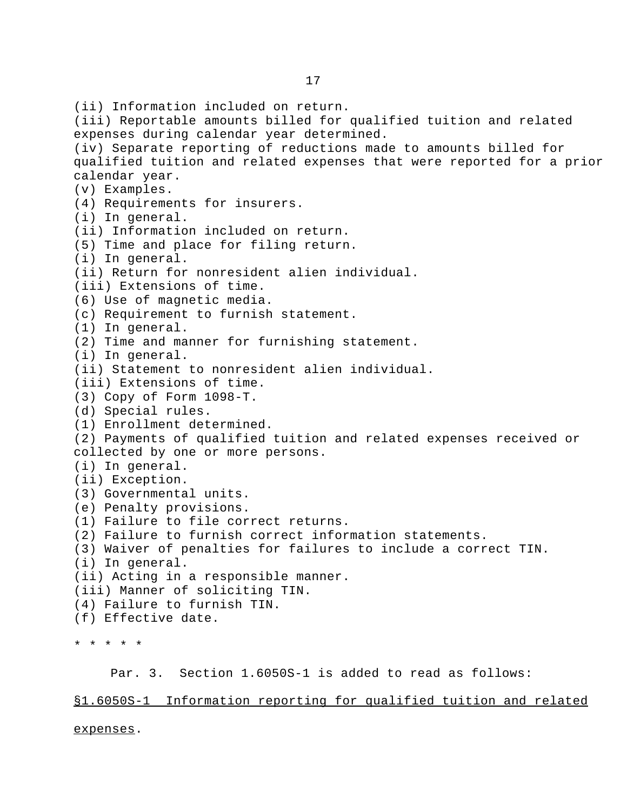(ii) Information included on return. (iii) Reportable amounts billed for qualified tuition and related expenses during calendar year determined. (iv) Separate reporting of reductions made to amounts billed for qualified tuition and related expenses that were reported for a prior calendar year. (v) Examples. (4) Requirements for insurers. (i) In general. (ii) Information included on return. (5) Time and place for filing return. (i) In general. (ii) Return for nonresident alien individual. (iii) Extensions of time. (6) Use of magnetic media. (c) Requirement to furnish statement. (1) In general. (2) Time and manner for furnishing statement. (i) In general. (ii) Statement to nonresident alien individual. (iii) Extensions of time. (3) Copy of Form 1098-T. (d) Special rules. (1) Enrollment determined. (2) Payments of qualified tuition and related expenses received or collected by one or more persons. (i) In general. (ii) Exception. (3) Governmental units. (e) Penalty provisions. (1) Failure to file correct returns. (2) Failure to furnish correct information statements. (3) Waiver of penalties for failures to include a correct TIN. (i) In general. (ii) Acting in a responsible manner. (iii) Manner of soliciting TIN. (4) Failure to furnish TIN. (f) Effective date. \* \* \* \* \* Par. 3. Section 1.6050S-1 is added to read as follows:

§1.6050S-1 Information reporting for qualified tuition and related

expenses.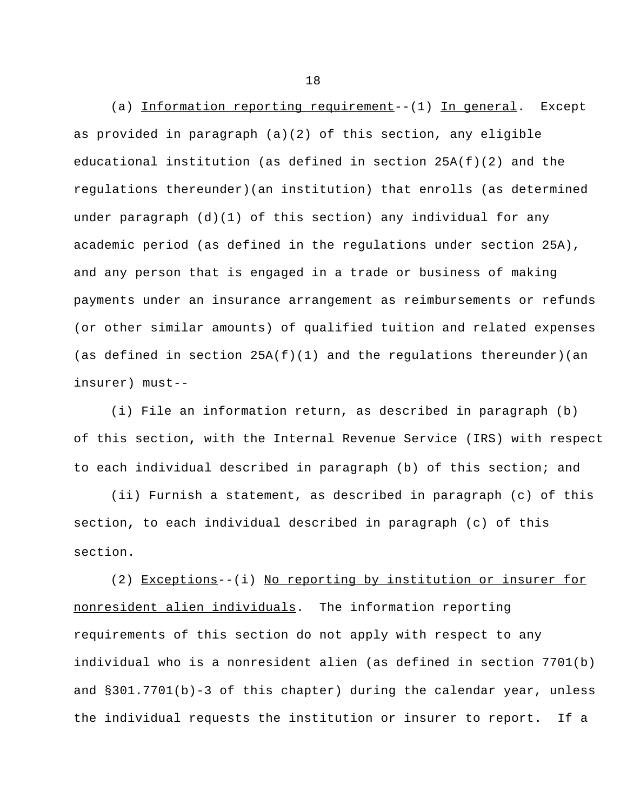(a) Information reporting requirement--(1) In general. Except as provided in paragraph (a)(2) of this section, any eligible educational institution (as defined in section 25A(f)(2) and the regulations thereunder)(an institution) that enrolls (as determined under paragraph  $(d)(1)$  of this section) any individual for any academic period (as defined in the regulations under section 25A), and any person that is engaged in a trade or business of making payments under an insurance arrangement as reimbursements or refunds (or other similar amounts) of qualified tuition and related expenses (as defined in section  $25A(f)(1)$  and the requlations thereunder)(an insurer) must--

(i) File an information return, as described in paragraph (b) of this section**,** with the Internal Revenue Service (IRS) with respect to each individual described in paragraph (b) of this section; and

(ii) Furnish a statement, as described in paragraph (c) of this section**,** to each individual described in paragraph (c) of this section.

(2) Exceptions--(i) No reporting by institution or insurer for nonresident alien individuals. The information reporting requirements of this section do not apply with respect to any individual who is a nonresident alien (as defined in section 7701(b) and §301.7701(b)-3 of this chapter) during the calendar year, unless the individual requests the institution or insurer to report. If a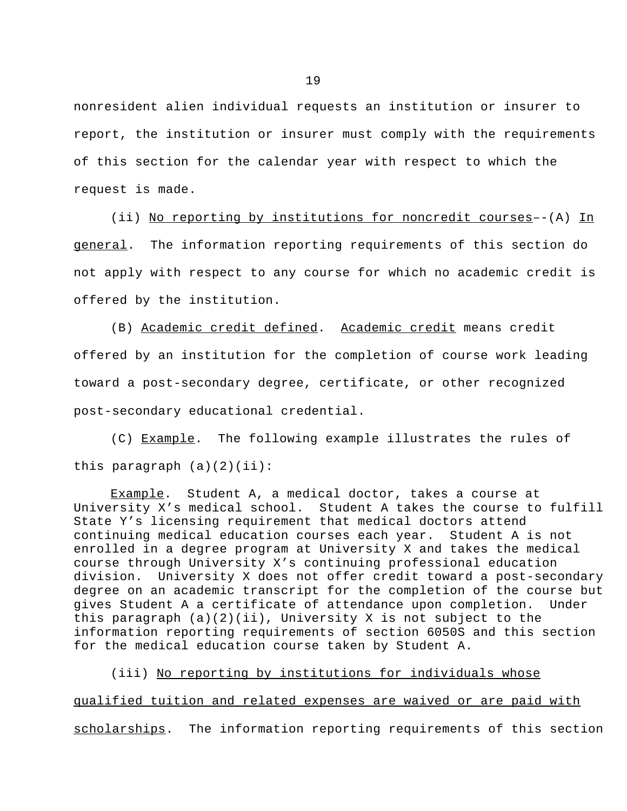nonresident alien individual requests an institution or insurer to report, the institution or insurer must comply with the requirements of this section for the calendar year with respect to which the request is made.

(ii) No reporting by institutions for noncredit courses--(A) In general. The information reporting requirements of this section do not apply with respect to any course for which no academic credit is offered by the institution.

(B) Academic credit defined. Academic credit means credit offered by an institution for the completion of course work leading toward a post-secondary degree, certificate, or other recognized post-secondary educational credential.

(C) Example. The following example illustrates the rules of this paragraph  $(a)(2)(ii)$ :

Example. Student A, a medical doctor, takes a course at University X's medical school. Student A takes the course to fulfill State Y's licensing requirement that medical doctors attend continuing medical education courses each year. Student A is not enrolled in a degree program at University X and takes the medical course through University X's continuing professional education division. University X does not offer credit toward a post-secondary degree on an academic transcript for the completion of the course but gives Student A a certificate of attendance upon completion. Under this paragraph  $(a)(2)(ii)$ , University X is not subject to the information reporting requirements of section 6050S and this section for the medical education course taken by Student A.

(iii) No reporting by institutions for individuals whose qualified tuition and related expenses are waived or are paid with scholarships. The information reporting requirements of this section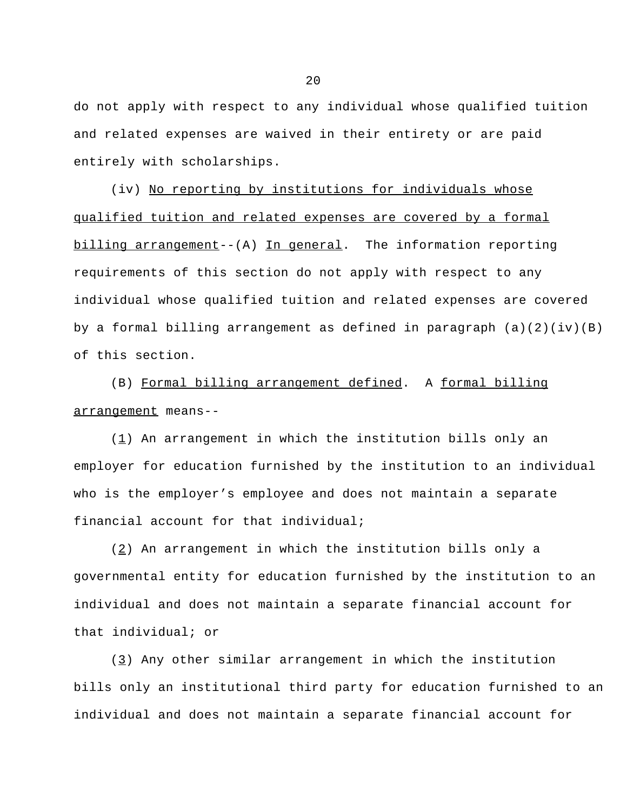do not apply with respect to any individual whose qualified tuition and related expenses are waived in their entirety or are paid entirely with scholarships.

(iv) No reporting by institutions for individuals whose qualified tuition and related expenses are covered by a formal billing arrangement--(A) In general. The information reporting requirements of this section do not apply with respect to any individual whose qualified tuition and related expenses are covered by a formal billing arrangement as defined in paragraph  $(a)(2)(iv)(B)$ of this section.

(B) Formal billing arrangement defined. A formal billing arrangement means--

 $(1)$  An arrangement in which the institution bills only an employer for education furnished by the institution to an individual who is the employer's employee and does not maintain a separate financial account for that individual;

 $(2)$  An arrangement in which the institution bills only a governmental entity for education furnished by the institution to an individual and does not maintain a separate financial account for that individual; or

(3) Any other similar arrangement in which the institution bills only an institutional third party for education furnished to an individual and does not maintain a separate financial account for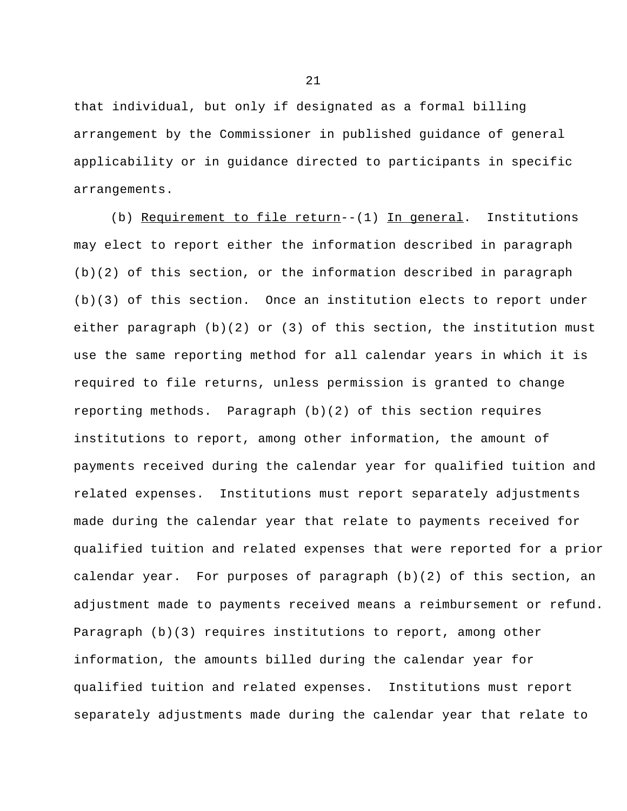that individual, but only if designated as a formal billing arrangement by the Commissioner in published guidance of general applicability or in guidance directed to participants in specific arrangements.

(b) Requirement to file return--(1) In general. Institutions may elect to report either the information described in paragraph (b)(2) of this section, or the information described in paragraph (b)(3) of this section. Once an institution elects to report under either paragraph (b)(2) or (3) of this section, the institution must use the same reporting method for all calendar years in which it is required to file returns, unless permission is granted to change reporting methods. Paragraph (b)(2) of this section requires institutions to report, among other information, the amount of payments received during the calendar year for qualified tuition and related expenses. Institutions must report separately adjustments made during the calendar year that relate to payments received for qualified tuition and related expenses that were reported for a prior calendar year. For purposes of paragraph (b)(2) of this section, an adjustment made to payments received means a reimbursement or refund. Paragraph (b)(3) requires institutions to report, among other information, the amounts billed during the calendar year for qualified tuition and related expenses. Institutions must report separately adjustments made during the calendar year that relate to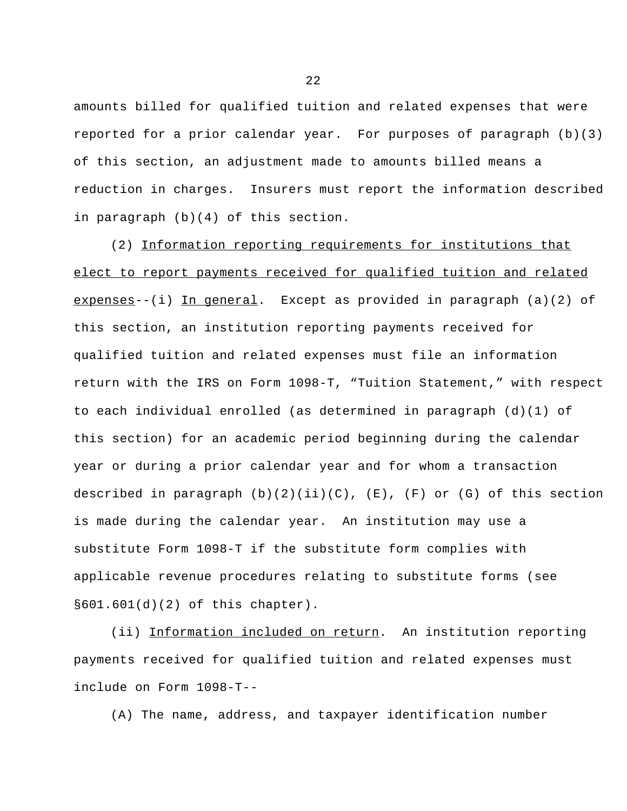amounts billed for qualified tuition and related expenses that were reported for a prior calendar year. For purposes of paragraph (b)(3) of this section, an adjustment made to amounts billed means a reduction in charges. Insurers must report the information described in paragraph (b)(4) of this section.

(2) Information reporting requirements for institutions that elect to report payments received for qualified tuition and related expenses--(i) In general. Except as provided in paragraph  $(a)(2)$  of this section, an institution reporting payments received for qualified tuition and related expenses must file an information return with the IRS on Form 1098-T, "Tuition Statement," with respect to each individual enrolled (as determined in paragraph (d)(1) of this section) for an academic period beginning during the calendar year or during a prior calendar year and for whom a transaction described in paragraph  $(b)(2)(ii)(C)$ ,  $(E)$ ,  $(F)$  or  $(G)$  of this section is made during the calendar year. An institution may use a substitute Form 1098-T if the substitute form complies with applicable revenue procedures relating to substitute forms (see §601.601(d)(2) of this chapter).

(ii) Information included on return. An institution reporting payments received for qualified tuition and related expenses must include on Form 1098-T--

(A) The name, address, and taxpayer identification number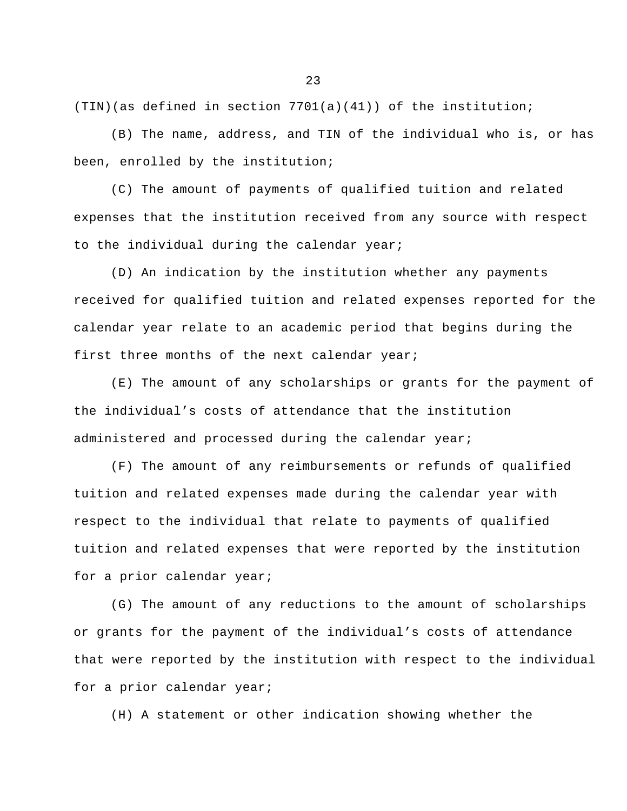$(TIN)(as defined in section 7701(a)(41)) of the institution;$ 

(B) The name, address, and TIN of the individual who is, or has been, enrolled by the institution;

(C) The amount of payments of qualified tuition and related expenses that the institution received from any source with respect to the individual during the calendar year;

(D) An indication by the institution whether any payments received for qualified tuition and related expenses reported for the calendar year relate to an academic period that begins during the first three months of the next calendar year;

(E) The amount of any scholarships or grants for the payment of the individual's costs of attendance that the institution administered and processed during the calendar year;

(F) The amount of any reimbursements or refunds of qualified tuition and related expenses made during the calendar year with respect to the individual that relate to payments of qualified tuition and related expenses that were reported by the institution for a prior calendar year;

(G) The amount of any reductions to the amount of scholarships or grants for the payment of the individual's costs of attendance that were reported by the institution with respect to the individual for a prior calendar year;

(H) A statement or other indication showing whether the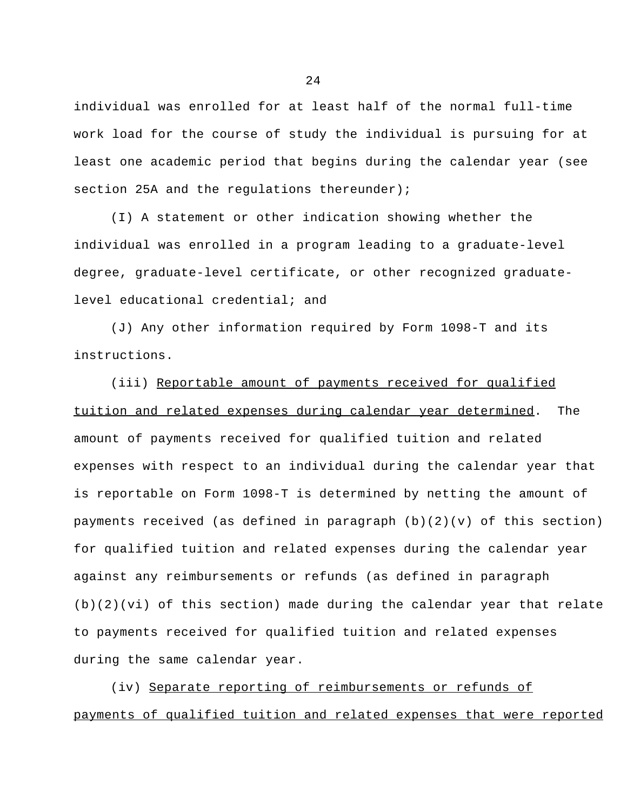individual was enrolled for at least half of the normal full-time work load for the course of study the individual is pursuing for at least one academic period that begins during the calendar year (see section 25A and the regulations thereunder);

(I) A statement or other indication showing whether the individual was enrolled in a program leading to a graduate-level degree, graduate-level certificate, or other recognized graduatelevel educational credential; and

(J) Any other information required by Form 1098-T and its instructions.

(iii) Reportable amount of payments received for qualified tuition and related expenses during calendar year determined. The amount of payments received for qualified tuition and related expenses with respect to an individual during the calendar year that is reportable on Form 1098-T is determined by netting the amount of payments received (as defined in paragraph  $(b)(2)(v)$  of this section) for qualified tuition and related expenses during the calendar year against any reimbursements or refunds (as defined in paragraph (b)(2)(vi) of this section) made during the calendar year that relate to payments received for qualified tuition and related expenses during the same calendar year.

(iv) Separate reporting of reimbursements or refunds of payments of qualified tuition and related expenses that were reported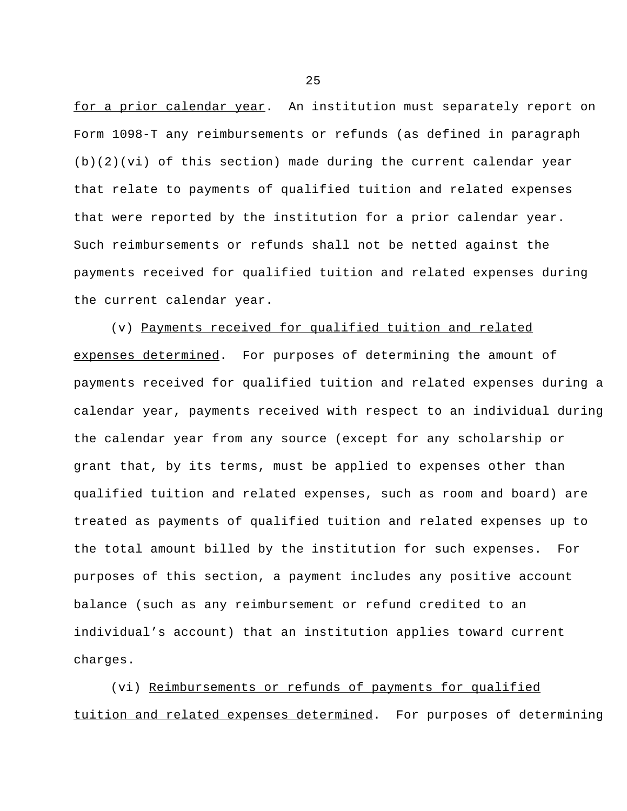for a prior calendar year. An institution must separately report on Form 1098-T any reimbursements or refunds (as defined in paragraph (b)(2)(vi) of this section) made during the current calendar year that relate to payments of qualified tuition and related expenses that were reported by the institution for a prior calendar year. Such reimbursements or refunds shall not be netted against the payments received for qualified tuition and related expenses during the current calendar year.

(v) Payments received for qualified tuition and related expenses determined. For purposes of determining the amount of payments received for qualified tuition and related expenses during a calendar year, payments received with respect to an individual during the calendar year from any source (except for any scholarship or grant that, by its terms, must be applied to expenses other than qualified tuition and related expenses, such as room and board) are treated as payments of qualified tuition and related expenses up to the total amount billed by the institution for such expenses. For purposes of this section, a payment includes any positive account balance (such as any reimbursement or refund credited to an individual's account) that an institution applies toward current charges.

(vi) Reimbursements or refunds of payments for qualified tuition and related expenses determined. For purposes of determining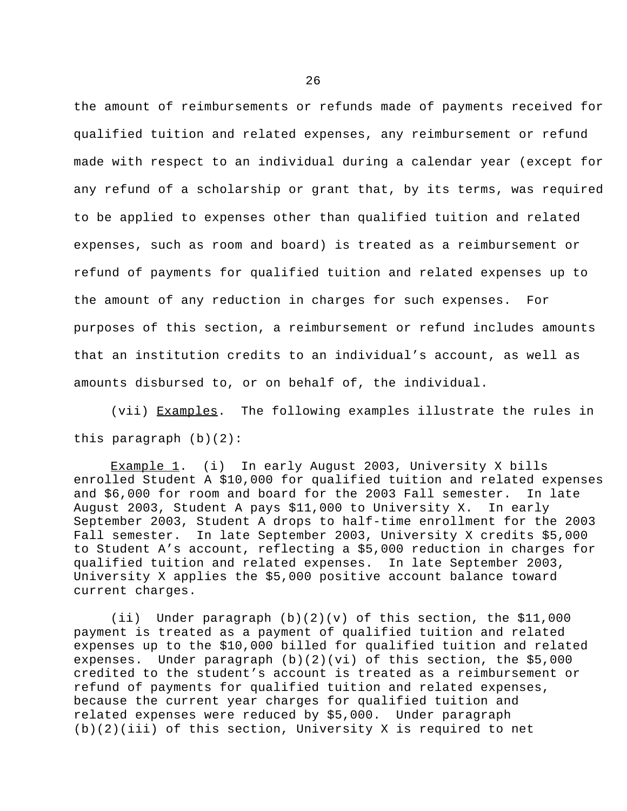the amount of reimbursements or refunds made of payments received for qualified tuition and related expenses, any reimbursement or refund made with respect to an individual during a calendar year (except for any refund of a scholarship or grant that, by its terms, was required to be applied to expenses other than qualified tuition and related expenses, such as room and board) is treated as a reimbursement or refund of payments for qualified tuition and related expenses up to the amount of any reduction in charges for such expenses. For purposes of this section, a reimbursement or refund includes amounts that an institution credits to an individual's account, as well as amounts disbursed to, or on behalf of, the individual.

(vii) Examples. The following examples illustrate the rules in this paragraph (b)(2):

Example 1. (i) In early August 2003, University X bills enrolled Student A \$10,000 for qualified tuition and related expenses and \$6,000 for room and board for the 2003 Fall semester. In late August 2003, Student A pays \$11,000 to University X. In early September 2003, Student A drops to half-time enrollment for the 2003 Fall semester. In late September 2003, University X credits \$5,000 to Student A's account, reflecting a \$5,000 reduction in charges for qualified tuition and related expenses. In late September 2003, University X applies the \$5,000 positive account balance toward current charges.

(ii) Under paragraph (b)(2)(v) of this section, the \$11,000 payment is treated as a payment of qualified tuition and related expenses up to the \$10,000 billed for qualified tuition and related expenses. Under paragraph (b)(2)(vi) of this section, the \$5,000 credited to the student's account is treated as a reimbursement or refund of payments for qualified tuition and related expenses, because the current year charges for qualified tuition and related expenses were reduced by \$5,000. Under paragraph (b)(2)(iii) of this section, University X is required to net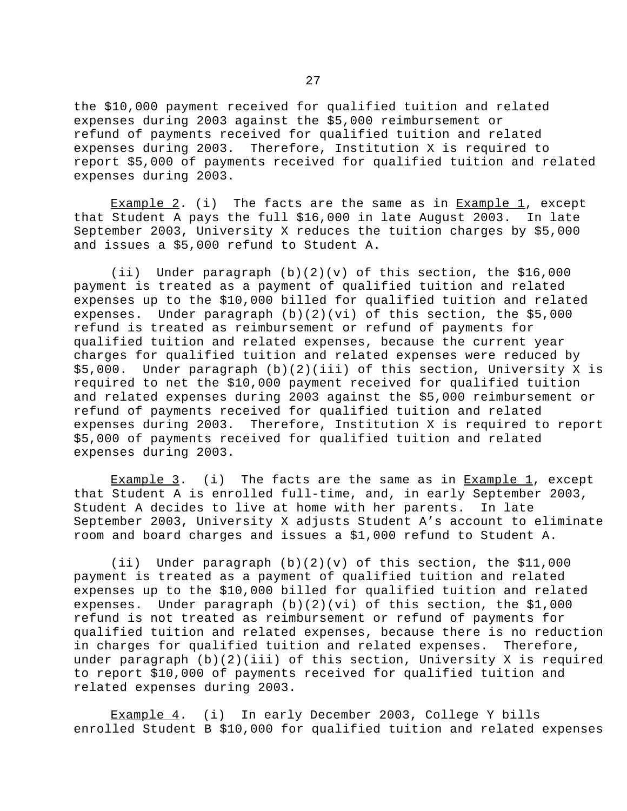the \$10,000 payment received for qualified tuition and related expenses during 2003 against the \$5,000 reimbursement or refund of payments received for qualified tuition and related expenses during 2003. Therefore, Institution X is required to report \$5,000 of payments received for qualified tuition and related expenses during 2003.

Example 2. (i) The facts are the same as in Example 1, except that Student A pays the full \$16,000 in late August 2003. In late September 2003, University X reduces the tuition charges by \$5,000 and issues a \$5,000 refund to Student A.

(ii) Under paragraph (b)(2)(v) of this section, the \$16,000 payment is treated as a payment of qualified tuition and related expenses up to the \$10,000 billed for qualified tuition and related expenses. Under paragraph  $(b)(2)(vi)$  of this section, the \$5,000 refund is treated as reimbursement or refund of payments for qualified tuition and related expenses, because the current year charges for qualified tuition and related expenses were reduced by \$5,000. Under paragraph (b)(2)(iii) of this section, University X is required to net the \$10,000 payment received for qualified tuition and related expenses during 2003 against the \$5,000 reimbursement or refund of payments received for qualified tuition and related expenses during 2003. Therefore, Institution X is required to report \$5,000 of payments received for qualified tuition and related expenses during 2003.

Example 3. (i) The facts are the same as in Example 1, except that Student A is enrolled full-time, and, in early September 2003, Student A decides to live at home with her parents. In late September 2003, University X adjusts Student A's account to eliminate room and board charges and issues a \$1,000 refund to Student A.

(ii) Under paragraph (b)(2)(v) of this section, the \$11,000 payment is treated as a payment of qualified tuition and related expenses up to the \$10,000 billed for qualified tuition and related expenses. Under paragraph (b)(2)(vi) of this section, the \$1,000 refund is not treated as reimbursement or refund of payments for qualified tuition and related expenses, because there is no reduction in charges for qualified tuition and related expenses. Therefore, under paragraph (b)(2)(iii) of this section, University X is required to report \$10,000 of payments received for qualified tuition and related expenses during 2003.

Example 4. (i) In early December 2003, College Y bills enrolled Student B \$10,000 for qualified tuition and related expenses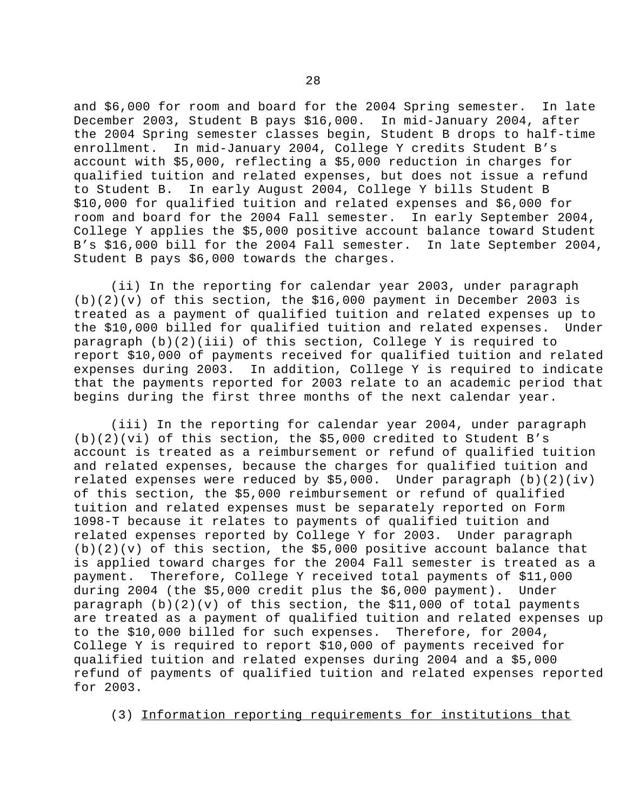and \$6,000 for room and board for the 2004 Spring semester. In late December 2003, Student B pays \$16,000. In mid-January 2004, after the 2004 Spring semester classes begin, Student B drops to half-time enrollment. In mid-January 2004, College Y credits Student B's account with \$5,000, reflecting a \$5,000 reduction in charges for qualified tuition and related expenses, but does not issue a refund to Student B. In early August 2004, College Y bills Student B \$10,000 for qualified tuition and related expenses and \$6,000 for room and board for the 2004 Fall semester. In early September 2004, College Y applies the \$5,000 positive account balance toward Student B's \$16,000 bill for the 2004 Fall semester. In late September 2004, Student B pays \$6,000 towards the charges.

(ii) In the reporting for calendar year 2003, under paragraph  $(b)(2)(v)$  of this section, the \$16,000 payment in December 2003 is treated as a payment of qualified tuition and related expenses up to the \$10,000 billed for qualified tuition and related expenses. Under paragraph (b)(2)(iii) of this section, College Y is required to report \$10,000 of payments received for qualified tuition and related expenses during 2003. In addition, College Y is required to indicate that the payments reported for 2003 relate to an academic period that begins during the first three months of the next calendar year.

(iii) In the reporting for calendar year 2004, under paragraph (b)(2)(vi) of this section, the \$5,000 credited to Student B's account is treated as a reimbursement or refund of qualified tuition and related expenses, because the charges for qualified tuition and related expenses were reduced by \$5,000. Under paragraph (b)(2)(iv) of this section, the \$5,000 reimbursement or refund of qualified tuition and related expenses must be separately reported on Form 1098-T because it relates to payments of qualified tuition and related expenses reported by College Y for 2003. Under paragraph  $(b)(2)(v)$  of this section, the \$5,000 positive account balance that is applied toward charges for the 2004 Fall semester is treated as a payment. Therefore, College Y received total payments of \$11,000 during 2004 (the \$5,000 credit plus the \$6,000 payment). Under paragraph (b)(2)(v) of this section, the \$11,000 of total payments are treated as a payment of qualified tuition and related expenses up to the \$10,000 billed for such expenses. Therefore, for 2004, College Y is required to report \$10,000 of payments received for qualified tuition and related expenses during 2004 and a \$5,000 refund of payments of qualified tuition and related expenses reported for 2003.

(3) Information reporting requirements for institutions that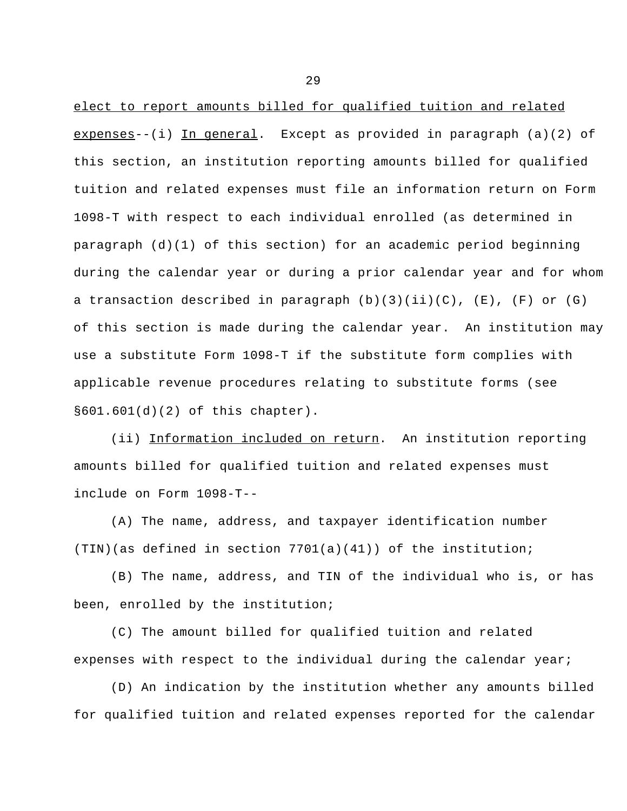elect to report amounts billed for qualified tuition and related expenses--(i) In general. Except as provided in paragraph (a)(2) of this section, an institution reporting amounts billed for qualified tuition and related expenses must file an information return on Form 1098-T with respect to each individual enrolled (as determined in paragraph (d)(1) of this section) for an academic period beginning during the calendar year or during a prior calendar year and for whom a transaction described in paragraph  $(b)(3)(ii)(C)$ ,  $(E)$ ,  $(F)$  or  $(G)$ of this section is made during the calendar year. An institution may use a substitute Form 1098-T if the substitute form complies with applicable revenue procedures relating to substitute forms (see §601.601(d)(2) of this chapter).

(ii) Information included on return. An institution reporting amounts billed for qualified tuition and related expenses must include on Form 1098-T--

(A) The name, address, and taxpayer identification number  $(TIN)(as defined in section 7701(a)(41))$  of the institution;

(B) The name, address, and TIN of the individual who is, or has been, enrolled by the institution;

(C) The amount billed for qualified tuition and related expenses with respect to the individual during the calendar year;

(D) An indication by the institution whether any amounts billed for qualified tuition and related expenses reported for the calendar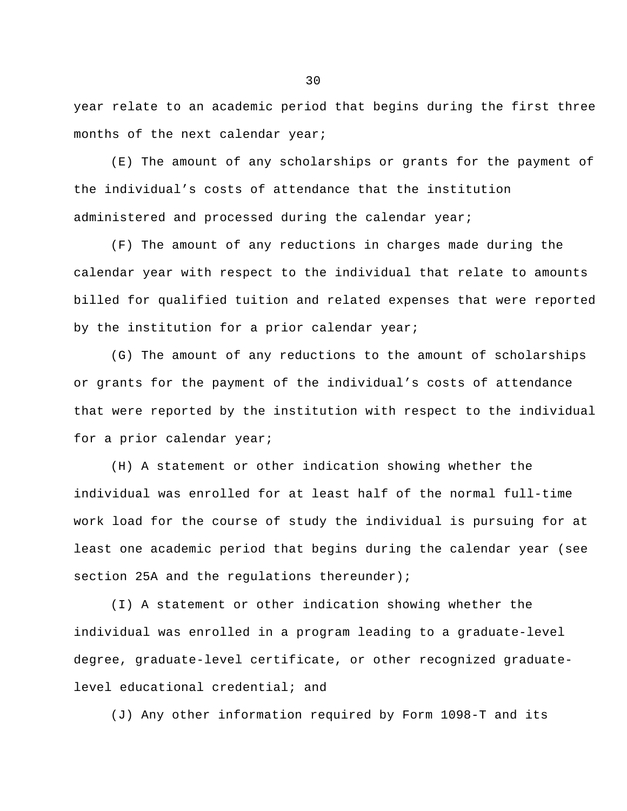year relate to an academic period that begins during the first three months of the next calendar year;

(E) The amount of any scholarships or grants for the payment of the individual's costs of attendance that the institution administered and processed during the calendar year;

(F) The amount of any reductions in charges made during the calendar year with respect to the individual that relate to amounts billed for qualified tuition and related expenses that were reported by the institution for a prior calendar year;

(G) The amount of any reductions to the amount of scholarships or grants for the payment of the individual's costs of attendance that were reported by the institution with respect to the individual for a prior calendar year;

(H) A statement or other indication showing whether the individual was enrolled for at least half of the normal full-time work load for the course of study the individual is pursuing for at least one academic period that begins during the calendar year (see section 25A and the regulations thereunder);

(I) A statement or other indication showing whether the individual was enrolled in a program leading to a graduate-level degree, graduate-level certificate, or other recognized graduatelevel educational credential; and

(J) Any other information required by Form 1098-T and its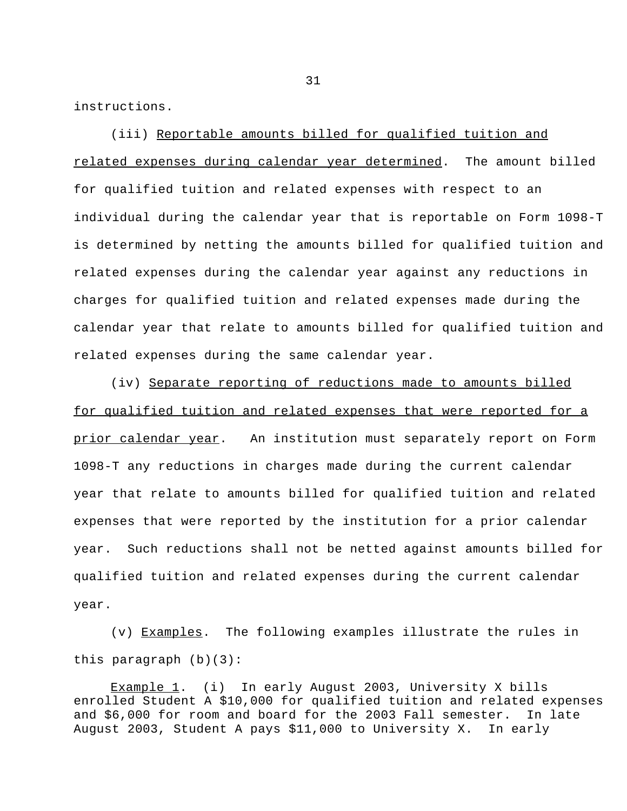instructions.

(iii) Reportable amounts billed for qualified tuition and related expenses during calendar year determined. The amount billed for qualified tuition and related expenses with respect to an individual during the calendar year that is reportable on Form 1098-T is determined by netting the amounts billed for qualified tuition and related expenses during the calendar year against any reductions in charges for qualified tuition and related expenses made during the calendar year that relate to amounts billed for qualified tuition and related expenses during the same calendar year.

(iv) Separate reporting of reductions made to amounts billed for qualified tuition and related expenses that were reported for a prior calendar year. An institution must separately report on Form 1098-T any reductions in charges made during the current calendar year that relate to amounts billed for qualified tuition and related expenses that were reported by the institution for a prior calendar year. Such reductions shall not be netted against amounts billed for qualified tuition and related expenses during the current calendar year.

(v) Examples. The following examples illustrate the rules in this paragraph (b)(3):

Example 1. (i) In early August 2003, University X bills enrolled Student A \$10,000 for qualified tuition and related expenses and \$6,000 for room and board for the 2003 Fall semester. In late August 2003, Student A pays \$11,000 to University X. In early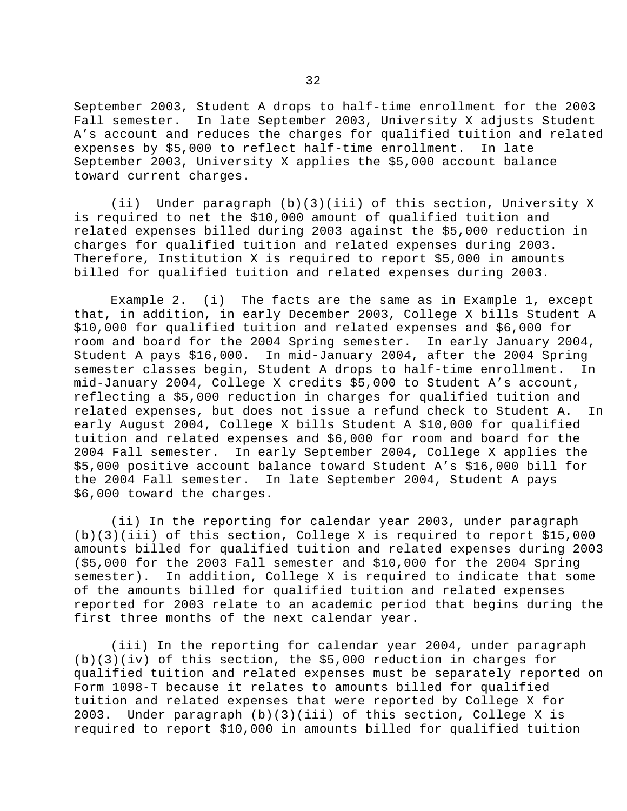September 2003, Student A drops to half-time enrollment for the 2003 Fall semester. In late September 2003, University X adjusts Student A's account and reduces the charges for qualified tuition and related expenses by \$5,000 to reflect half-time enrollment. In late September 2003, University X applies the \$5,000 account balance toward current charges.

(ii) Under paragraph (b)(3)(iii) of this section, University X is required to net the \$10,000 amount of qualified tuition and related expenses billed during 2003 against the \$5,000 reduction in charges for qualified tuition and related expenses during 2003. Therefore, Institution X is required to report \$5,000 in amounts billed for qualified tuition and related expenses during 2003.

Example 2. (i) The facts are the same as in  $Example 1$ , except that, in addition, in early December 2003, College X bills Student A \$10,000 for qualified tuition and related expenses and \$6,000 for room and board for the 2004 Spring semester. In early January 2004, Student A pays \$16,000. In mid-January 2004, after the 2004 Spring semester classes begin, Student A drops to half-time enrollment. In mid-January 2004, College X credits \$5,000 to Student A's account, reflecting a \$5,000 reduction in charges for qualified tuition and related expenses, but does not issue a refund check to Student A. In early August 2004, College X bills Student A \$10,000 for qualified tuition and related expenses and \$6,000 for room and board for the 2004 Fall semester. In early September 2004, College X applies the \$5,000 positive account balance toward Student A's \$16,000 bill for the 2004 Fall semester. In late September 2004, Student A pays \$6,000 toward the charges.

(ii) In the reporting for calendar year 2003, under paragraph (b)(3)(iii) of this section, College X is required to report \$15,000 amounts billed for qualified tuition and related expenses during 2003 (\$5,000 for the 2003 Fall semester and \$10,000 for the 2004 Spring semester). In addition, College X is required to indicate that some of the amounts billed for qualified tuition and related expenses reported for 2003 relate to an academic period that begins during the first three months of the next calendar year.

(iii) In the reporting for calendar year 2004, under paragraph (b)(3)(iv) of this section, the \$5,000 reduction in charges for qualified tuition and related expenses must be separately reported on Form 1098-T because it relates to amounts billed for qualified tuition and related expenses that were reported by College X for 2003. Under paragraph (b)(3)(iii) of this section, College X is required to report \$10,000 in amounts billed for qualified tuition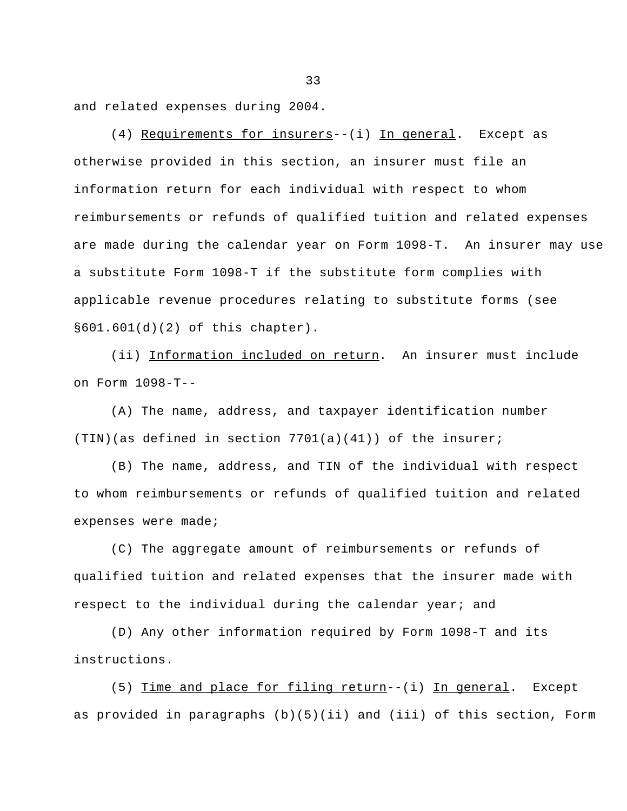and related expenses during 2004.

(4) Requirements for insurers--(i) In general. Except as otherwise provided in this section, an insurer must file an information return for each individual with respect to whom reimbursements or refunds of qualified tuition and related expenses are made during the calendar year on Form 1098-T. An insurer may use a substitute Form 1098-T if the substitute form complies with applicable revenue procedures relating to substitute forms (see §601.601(d)(2) of this chapter).

(ii) Information included on return. An insurer must include on Form 1098-T--

(A) The name, address, and taxpayer identification number  $(TIN)(as defined in section 7701(a)(41)) of the insurer;$ 

(B) The name, address, and TIN of the individual with respect to whom reimbursements or refunds of qualified tuition and related expenses were made;

(C) The aggregate amount of reimbursements or refunds of qualified tuition and related expenses that the insurer made with respect to the individual during the calendar year; and

(D) Any other information required by Form 1098-T and its instructions.

(5) Time and place for filing return--(i) In general. Except as provided in paragraphs (b)(5)(ii) and (iii) of this section, Form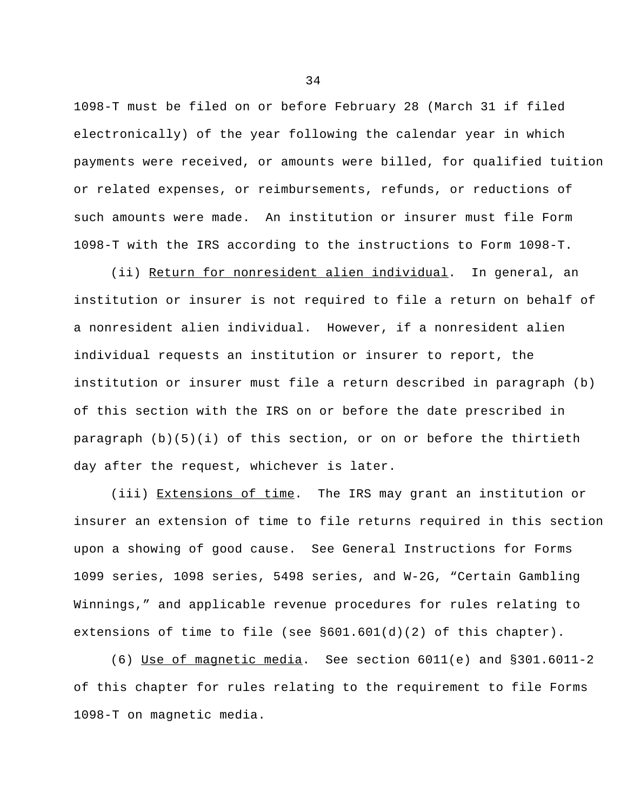1098-T must be filed on or before February 28 (March 31 if filed electronically) of the year following the calendar year in which payments were received, or amounts were billed, for qualified tuition or related expenses, or reimbursements, refunds, or reductions of such amounts were made. An institution or insurer must file Form 1098-T with the IRS according to the instructions to Form 1098-T.

 (ii) Return for nonresident alien individual. In general, an institution or insurer is not required to file a return on behalf of a nonresident alien individual. However, if a nonresident alien individual requests an institution or insurer to report, the institution or insurer must file a return described in paragraph (b) of this section with the IRS on or before the date prescribed in paragraph (b)(5)(i) of this section, or on or before the thirtieth day after the request, whichever is later.

(iii) Extensions of time. The IRS may grant an institution or insurer an extension of time to file returns required in this section upon a showing of good cause. See General Instructions for Forms 1099 series, 1098 series, 5498 series, and W-2G, "Certain Gambling Winnings," and applicable revenue procedures for rules relating to extensions of time to file (see §601.601(d)(2) of this chapter).

(6) Use of magnetic media. See section 6011(e) and §301.6011-2 of this chapter for rules relating to the requirement to file Forms 1098-T on magnetic media.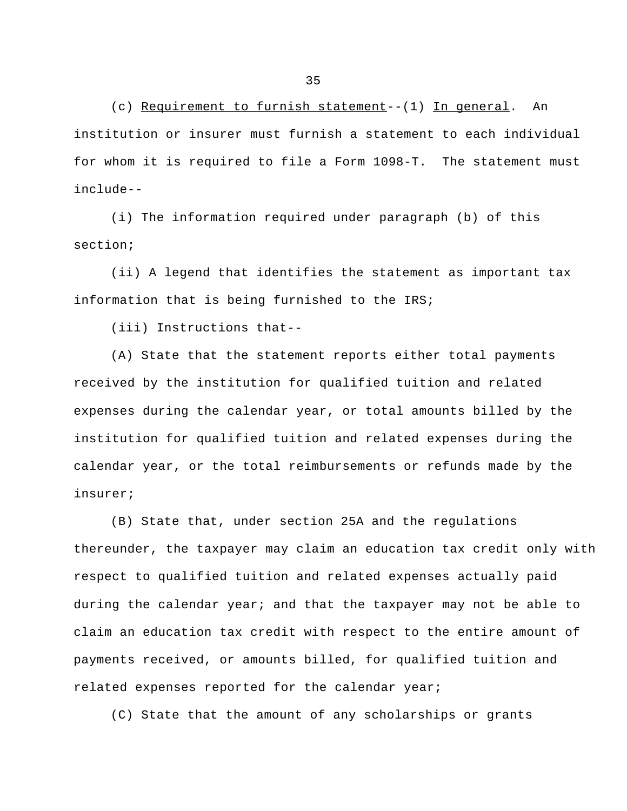(c) Requirement to furnish statement--(1) In general. An institution or insurer must furnish a statement to each individual for whom it is required to file a Form 1098-T. The statement must include--

(i) The information required under paragraph (b) of this section;

(ii) A legend that identifies the statement as important tax information that is being furnished to the IRS;

(iii) Instructions that--

(A) State that the statement reports either total payments received by the institution for qualified tuition and related expenses during the calendar year, or total amounts billed by the institution for qualified tuition and related expenses during the calendar year, or the total reimbursements or refunds made by the insurer;

(B) State that, under section 25A and the regulations thereunder, the taxpayer may claim an education tax credit only with respect to qualified tuition and related expenses actually paid during the calendar year; and that the taxpayer may not be able to claim an education tax credit with respect to the entire amount of payments received, or amounts billed, for qualified tuition and related expenses reported for the calendar year;

(C) State that the amount of any scholarships or grants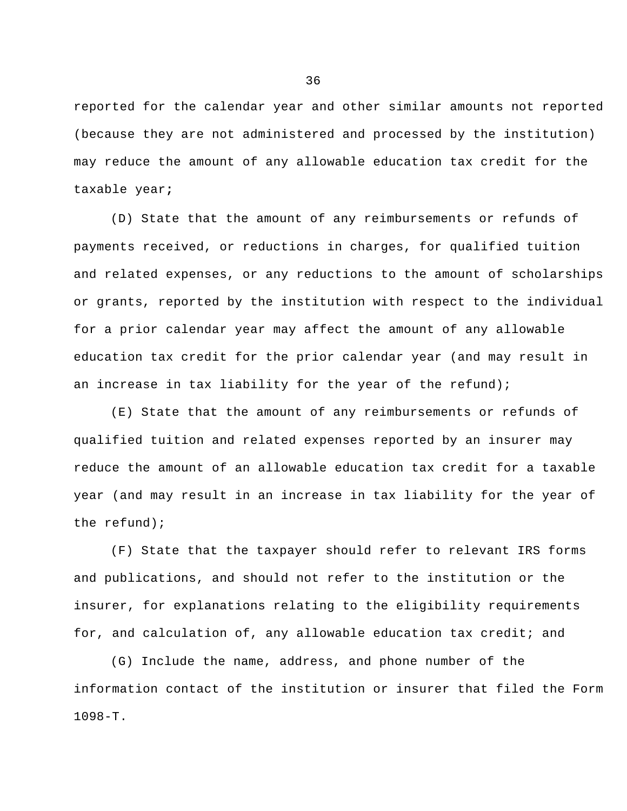reported for the calendar year and other similar amounts not reported (because they are not administered and processed by the institution) may reduce the amount of any allowable education tax credit for the taxable year**;**

(D) State that the amount of any reimbursements or refunds of payments received, or reductions in charges, for qualified tuition and related expenses, or any reductions to the amount of scholarships or grants, reported by the institution with respect to the individual for a prior calendar year may affect the amount of any allowable education tax credit for the prior calendar year (and may result in an increase in tax liability for the year of the refund);

(E) State that the amount of any reimbursements or refunds of qualified tuition and related expenses reported by an insurer may reduce the amount of an allowable education tax credit for a taxable year (and may result in an increase in tax liability for the year of the refund);

(F) State that the taxpayer should refer to relevant IRS forms and publications, and should not refer to the institution or the insurer, for explanations relating to the eligibility requirements for, and calculation of, any allowable education tax credit; and

(G) Include the name, address, and phone number of the information contact of the institution or insurer that filed the Form 1098-T.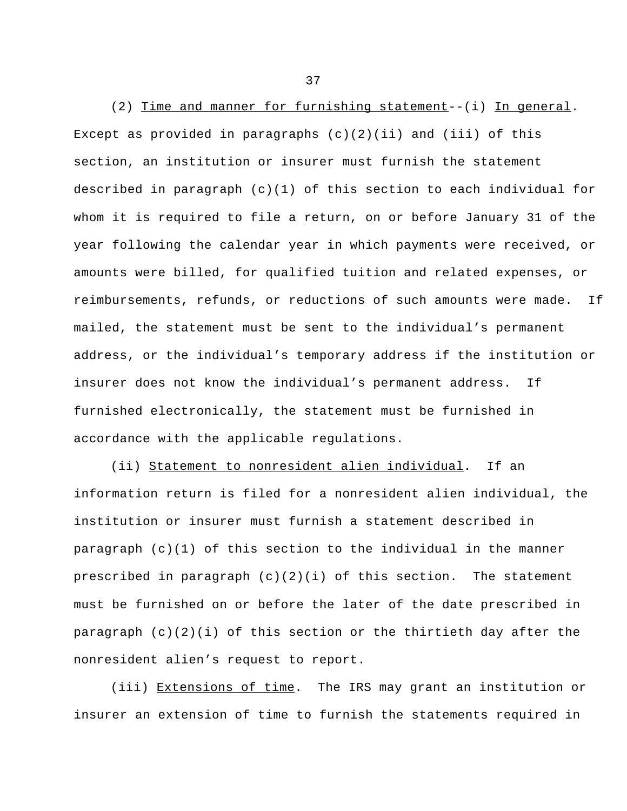(2) Time and manner for furnishing statement--(i) In general. Except as provided in paragraphs  $(c)(2)(ii)$  and  $(iii)$  of this section, an institution or insurer must furnish the statement described in paragraph (c)(1) of this section to each individual for whom it is required to file a return, on or before January 31 of the year following the calendar year in which payments were received, or amounts were billed, for qualified tuition and related expenses, or reimbursements, refunds, or reductions of such amounts were made. If mailed, the statement must be sent to the individual's permanent address, or the individual's temporary address if the institution or insurer does not know the individual's permanent address. If furnished electronically, the statement must be furnished in accordance with the applicable regulations.

(ii) Statement to nonresident alien individual. If an information return is filed for a nonresident alien individual, the institution or insurer must furnish a statement described in paragraph (c)(1) of this section to the individual in the manner prescribed in paragraph  $(c)(2)(i)$  of this section. The statement must be furnished on or before the later of the date prescribed in paragraph (c)(2)(i) of this section or the thirtieth day after the nonresident alien's request to report.

(iii) Extensions of time. The IRS may grant an institution or insurer an extension of time to furnish the statements required in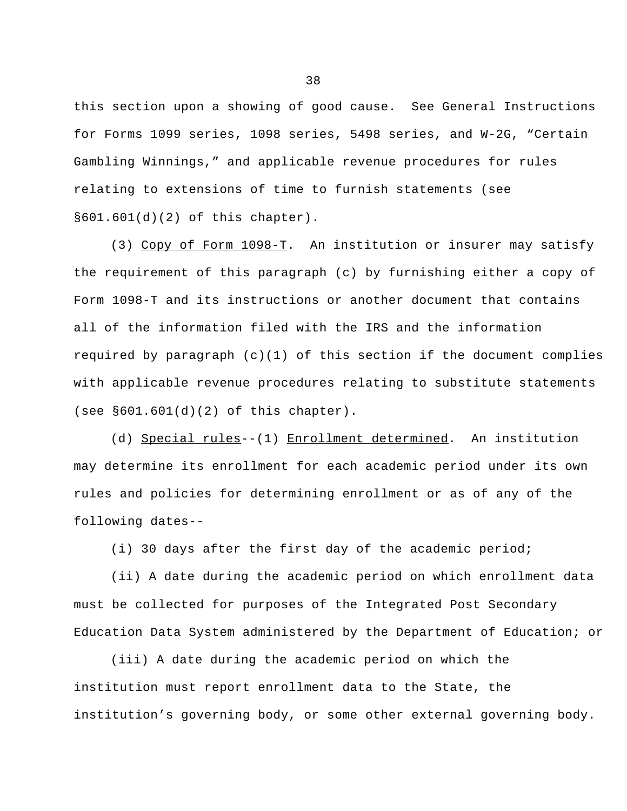this section upon a showing of good cause. See General Instructions for Forms 1099 series, 1098 series, 5498 series, and W-2G, "Certain Gambling Winnings," and applicable revenue procedures for rules relating to extensions of time to furnish statements (see §601.601(d)(2) of this chapter).

(3) Copy of Form 1098-T. An institution or insurer may satisfy the requirement of this paragraph (c) by furnishing either a copy of Form 1098-T and its instructions or another document that contains all of the information filed with the IRS and the information required by paragraph  $(c)(1)$  of this section if the document complies with applicable revenue procedures relating to substitute statements (see §601.601(d)(2) of this chapter).

(d) Special rules--(1) Enrollment determined. An institution may determine its enrollment for each academic period under its own rules and policies for determining enrollment or as of any of the following dates--

(i) 30 days after the first day of the academic period;

(ii) A date during the academic period on which enrollment data must be collected for purposes of the Integrated Post Secondary Education Data System administered by the Department of Education; or

(iii) A date during the academic period on which the institution must report enrollment data to the State, the institution's governing body, or some other external governing body.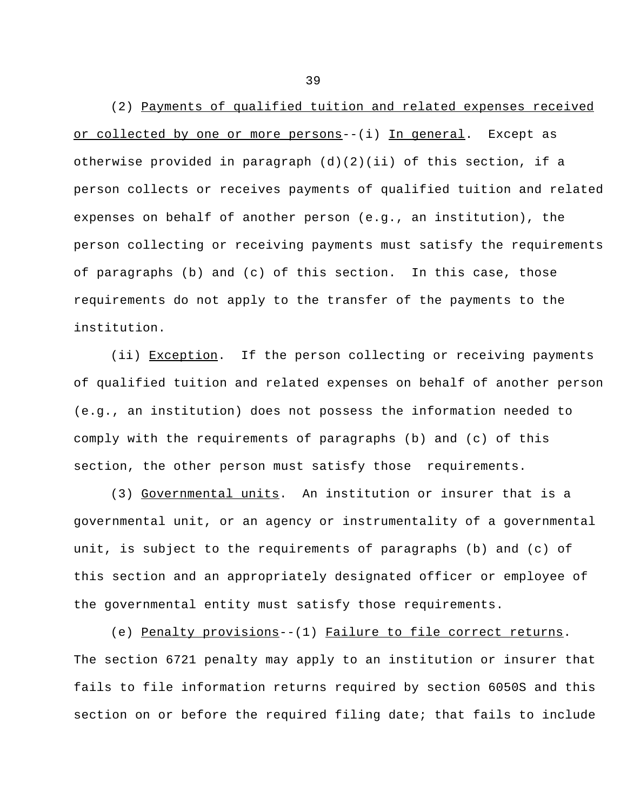(2) Payments of qualified tuition and related expenses received or collected by one or more persons--(i) In general. Except as otherwise provided in paragraph  $(d)(2)(ii)$  of this section, if a person collects or receives payments of qualified tuition and related expenses on behalf of another person (e.g., an institution), the person collecting or receiving payments must satisfy the requirements of paragraphs (b) and (c) of this section. In this case, those requirements do not apply to the transfer of the payments to the institution.

(ii) Exception. If the person collecting or receiving payments of qualified tuition and related expenses on behalf of another person (e.g., an institution) does not possess the information needed to comply with the requirements of paragraphs (b) and (c) of this section, the other person must satisfy those requirements.

(3) Governmental units. An institution or insurer that is a governmental unit, or an agency or instrumentality of a governmental unit, is subject to the requirements of paragraphs (b) and (c) of this section and an appropriately designated officer or employee of the governmental entity must satisfy those requirements.

(e) Penalty provisions--(1) Failure to file correct returns. The section 6721 penalty may apply to an institution or insurer that fails to file information returns required by section 6050S and this section on or before the required filing date; that fails to include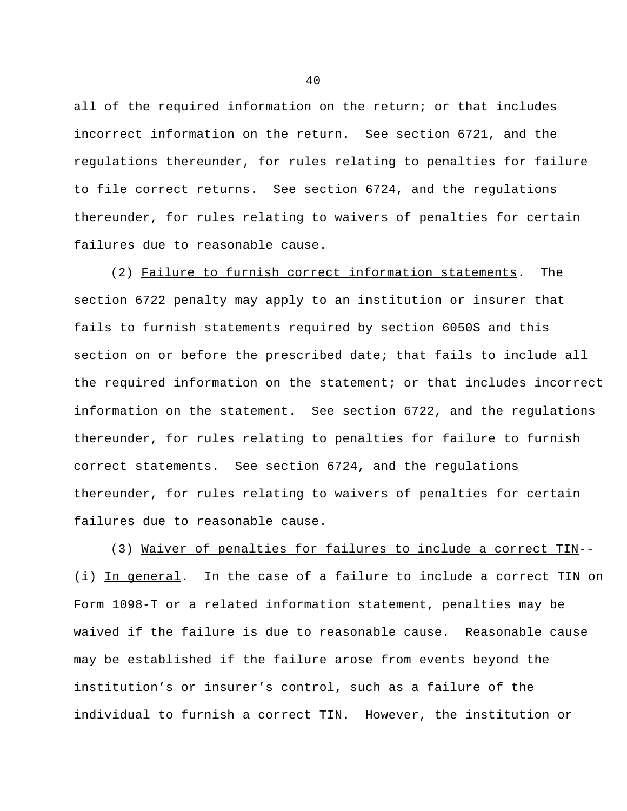all of the required information on the return; or that includes incorrect information on the return. See section 6721, and the regulations thereunder, for rules relating to penalties for failure to file correct returns. See section 6724, and the regulations thereunder, for rules relating to waivers of penalties for certain failures due to reasonable cause.

(2) Failure to furnish correct information statements. The section 6722 penalty may apply to an institution or insurer that fails to furnish statements required by section 6050S and this section on or before the prescribed date; that fails to include all the required information on the statement; or that includes incorrect information on the statement. See section 6722, and the regulations thereunder, for rules relating to penalties for failure to furnish correct statements. See section 6724, and the regulations thereunder, for rules relating to waivers of penalties for certain failures due to reasonable cause.

(3) Waiver of penalties for failures to include a correct TIN-- (i) In general. In the case of a failure to include a correct TIN on Form 1098-T or a related information statement, penalties may be waived if the failure is due to reasonable cause. Reasonable cause may be established if the failure arose from events beyond the institution's or insurer's control, such as a failure of the individual to furnish a correct TIN. However, the institution or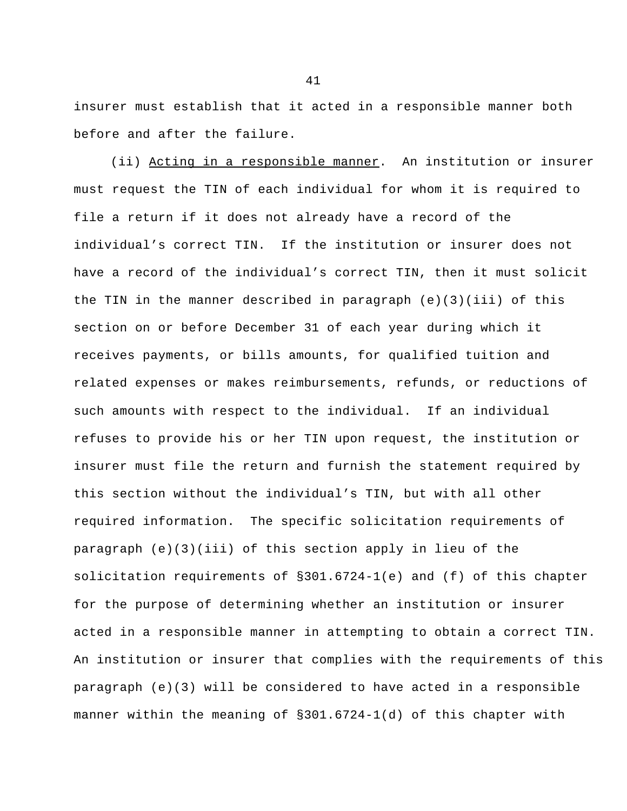insurer must establish that it acted in a responsible manner both before and after the failure.

(ii) Acting in a responsible manner. An institution or insurer must request the TIN of each individual for whom it is required to file a return if it does not already have a record of the individual's correct TIN. If the institution or insurer does not have a record of the individual's correct TIN, then it must solicit the TIN in the manner described in paragraph  $(e)(3)(iii)$  of this section on or before December 31 of each year during which it receives payments, or bills amounts, for qualified tuition and related expenses or makes reimbursements, refunds, or reductions of such amounts with respect to the individual. If an individual refuses to provide his or her TIN upon request, the institution or insurer must file the return and furnish the statement required by this section without the individual's TIN, but with all other required information. The specific solicitation requirements of paragraph (e)(3)(iii) of this section apply in lieu of the solicitation requirements of §301.6724-1(e) and (f) of this chapter for the purpose of determining whether an institution or insurer acted in a responsible manner in attempting to obtain a correct TIN. An institution or insurer that complies with the requirements of this paragraph (e)(3) will be considered to have acted in a responsible manner within the meaning of §301.6724-1(d) of this chapter with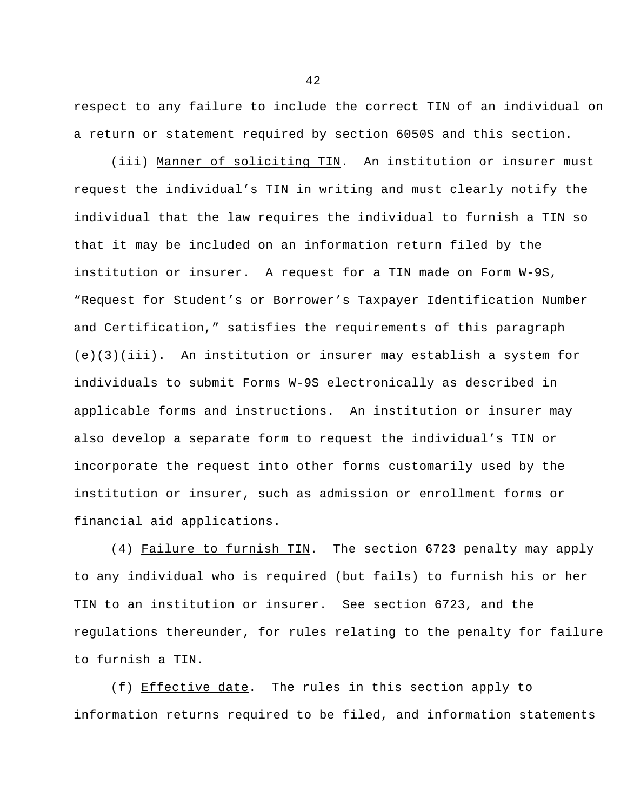respect to any failure to include the correct TIN of an individual on a return or statement required by section 6050S and this section.

(iii) Manner of soliciting TIN. An institution or insurer must request the individual's TIN in writing and must clearly notify the individual that the law requires the individual to furnish a TIN so that it may be included on an information return filed by the institution or insurer. A request for a TIN made on Form W-9S, "Request for Student's or Borrower's Taxpayer Identification Number and Certification," satisfies the requirements of this paragraph (e)(3)(iii). An institution or insurer may establish a system for individuals to submit Forms W-9S electronically as described in applicable forms and instructions. An institution or insurer may also develop a separate form to request the individual's TIN or incorporate the request into other forms customarily used by the institution or insurer, such as admission or enrollment forms or financial aid applications.

(4) Failure to furnish TIN. The section 6723 penalty may apply to any individual who is required (but fails) to furnish his or her TIN to an institution or insurer. See section 6723, and the regulations thereunder, for rules relating to the penalty for failure to furnish a TIN.

(f) Effective date. The rules in this section apply to information returns required to be filed, and information statements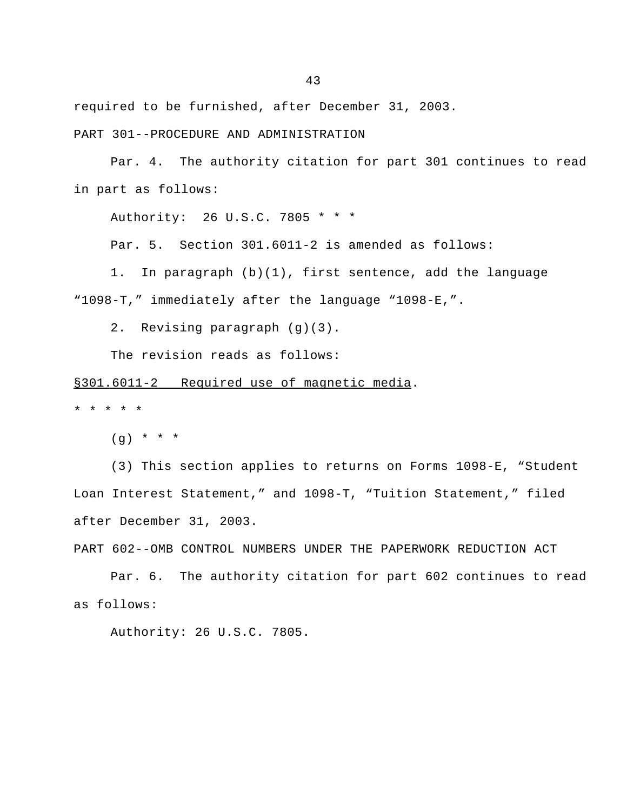required to be furnished, after December 31, 2003.

PART 301--PROCEDURE AND ADMINISTRATION

Par. 4. The authority citation for part 301 continues to read in part as follows:

Authority: 26 U.S.C. 7805 \* \* \*

Par. 5. Section 301.6011-2 is amended as follows:

1. In paragraph (b)(1), first sentence, add the language "1098-T," immediately after the language "1098-E,".

2. Revising paragraph (g)(3).

The revision reads as follows:

§301.6011-2 Required use of magnetic media.

\* \* \* \* \*

 $(q) * * * * *$ 

(3) This section applies to returns on Forms 1098-E, "Student Loan Interest Statement," and 1098-T, "Tuition Statement," filed after December 31, 2003.

PART 602--OMB CONTROL NUMBERS UNDER THE PAPERWORK REDUCTION ACT

Par. 6. The authority citation for part 602 continues to read as follows:

Authority: 26 U.S.C. 7805.